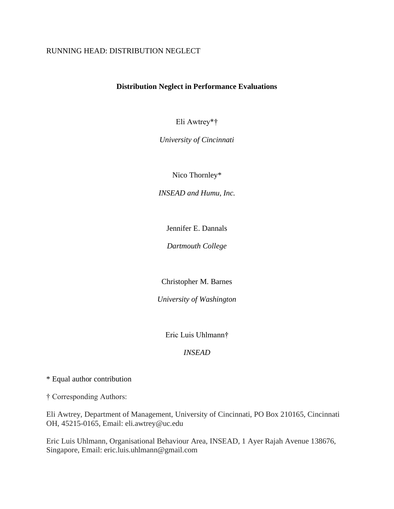## RUNNING HEAD: DISTRIBUTION NEGLECT

## **Distribution Neglect in Performance Evaluations**

Eli Awtrey\*†

*University of Cincinnati*

Nico Thornley\*

*INSEAD and Humu, Inc.*

Jennifer E. Dannals

*Dartmouth College*

Christopher M. Barnes

*University of Washington*

Eric Luis Uhlmann†

### *INSEAD*

\* Equal author contribution

† Corresponding Authors:

Eli Awtrey, Department of Management, University of Cincinnati, PO Box 210165, Cincinnati OH, 45215-0165, Email: eli.awtrey@uc.edu

Eric Luis Uhlmann, Organisational Behaviour Area, INSEAD, 1 Ayer Rajah Avenue 138676, Singapore, Email: eric.luis.uhlmann@gmail.com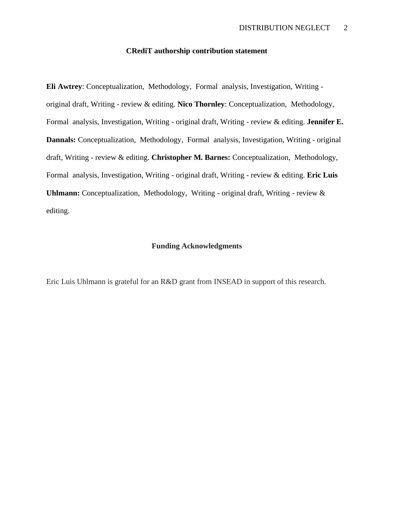## **CRediT authorship contribution statement**

**Eli Awtrey**: Conceptualization, Methodology, Formal analysis, Investigation, Writing original draft, Writing - review & editing. **Nico Thornley**: Conceptualization, Methodology, Formal analysis, Investigation, Writing - original draft, Writing - review & editing. **Jennifer E. Dannals:** Conceptualization, Methodology, Formal analysis, Investigation, Writing - original draft, Writing - review & editing. **Christopher M. Barnes:** Conceptualization, Methodology, Formal analysis, Investigation, Writing - original draft, Writing - review & editing. **Eric Luis Uhlmann:** Conceptualization, Methodology, Writing - original draft, Writing - review & editing.

#### **Funding Acknowledgments**

Eric Luis Uhlmann is grateful for an R&D grant from INSEAD in support of this research.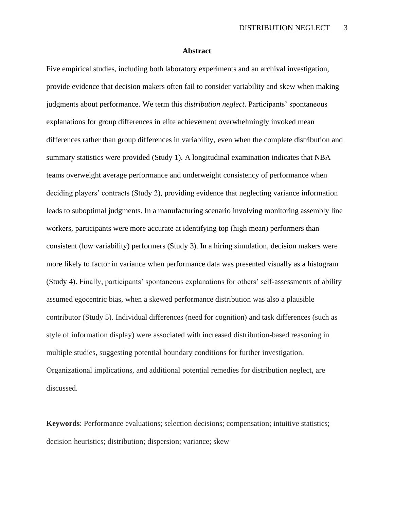#### **Abstract**

Five empirical studies, including both laboratory experiments and an archival investigation, provide evidence that decision makers often fail to consider variability and skew when making judgments about performance. We term this *distribution neglect*. Participants' spontaneous explanations for group differences in elite achievement overwhelmingly invoked mean differences rather than group differences in variability, even when the complete distribution and summary statistics were provided (Study 1). A longitudinal examination indicates that NBA teams overweight average performance and underweight consistency of performance when deciding players' contracts (Study 2), providing evidence that neglecting variance information leads to suboptimal judgments. In a manufacturing scenario involving monitoring assembly line workers, participants were more accurate at identifying top (high mean) performers than consistent (low variability) performers (Study 3). In a hiring simulation, decision makers were more likely to factor in variance when performance data was presented visually as a histogram (Study 4). Finally, participants' spontaneous explanations for others' self-assessments of ability assumed egocentric bias, when a skewed performance distribution was also a plausible contributor (Study 5). Individual differences (need for cognition) and task differences (such as style of information display) were associated with increased distribution-based reasoning in multiple studies, suggesting potential boundary conditions for further investigation. Organizational implications, and additional potential remedies for distribution neglect, are discussed.

**Keywords**: Performance evaluations; selection decisions; compensation; intuitive statistics; decision heuristics; distribution; dispersion; variance; skew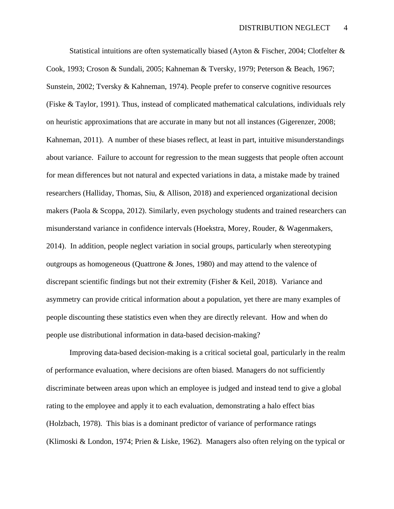Statistical intuitions are often systematically biased (Ayton & Fischer, 2004; Clotfelter & Cook, 1993; Croson & Sundali, 2005; Kahneman & Tversky, 1979; Peterson & Beach, 1967; Sunstein, 2002; Tversky & Kahneman, 1974). People prefer to conserve cognitive resources (Fiske & Taylor, 1991). Thus, instead of complicated mathematical calculations, individuals rely on heuristic approximations that are accurate in many but not all instances (Gigerenzer, 2008; Kahneman, 2011). A number of these biases reflect, at least in part, intuitive misunderstandings about variance. Failure to account for regression to the mean suggests that people often account for mean differences but not natural and expected variations in data, a mistake made by trained researchers (Halliday, Thomas, Siu, & Allison, 2018) and experienced organizational decision makers (Paola & Scoppa, 2012). Similarly, even psychology students and trained researchers can misunderstand variance in confidence intervals (Hoekstra, Morey, Rouder, & Wagenmakers, 2014). In addition, people neglect variation in social groups, particularly when stereotyping outgroups as homogeneous (Quattrone & Jones, 1980) and may attend to the valence of discrepant scientific findings but not their extremity (Fisher & Keil, 2018). Variance and asymmetry can provide critical information about a population, yet there are many examples of people discounting these statistics even when they are directly relevant. How and when do people use distributional information in data-based decision-making?

Improving data-based decision-making is a critical societal goal, particularly in the realm of performance evaluation, where decisions are often biased. Managers do not sufficiently discriminate between areas upon which an employee is judged and instead tend to give a global rating to the employee and apply it to each evaluation, demonstrating a halo effect bias (Holzbach, 1978). This bias is a dominant predictor of variance of performance ratings (Klimoski & London, 1974; Prien & Liske, 1962). Managers also often relying on the typical or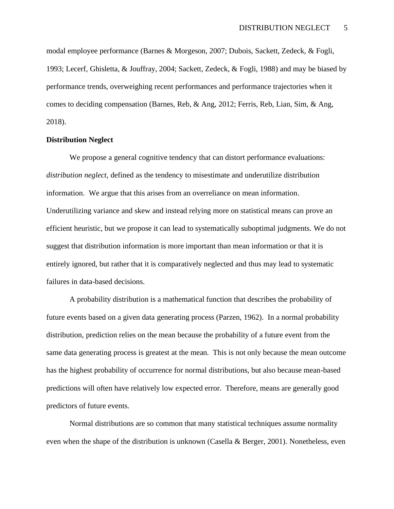modal employee performance (Barnes & Morgeson, 2007; Dubois, Sackett, Zedeck, & Fogli, 1993; Lecerf, Ghisletta, & Jouffray, 2004; Sackett, Zedeck, & Fogli, 1988) and may be biased by performance trends, overweighing recent performances and performance trajectories when it comes to deciding compensation (Barnes, Reb, & Ang, 2012; Ferris, Reb, Lian, Sim, & Ang, 2018).

#### **Distribution Neglect**

We propose a general cognitive tendency that can distort performance evaluations: *distribution neglect*, defined as the tendency to misestimate and underutilize distribution information. We argue that this arises from an overreliance on mean information. Underutilizing variance and skew and instead relying more on statistical means can prove an efficient heuristic, but we propose it can lead to systematically suboptimal judgments. We do not suggest that distribution information is more important than mean information or that it is entirely ignored, but rather that it is comparatively neglected and thus may lead to systematic failures in data-based decisions.

A probability distribution is a mathematical function that describes the probability of future events based on a given data generating process (Parzen, 1962). In a normal probability distribution, prediction relies on the mean because the probability of a future event from the same data generating process is greatest at the mean. This is not only because the mean outcome has the highest probability of occurrence for normal distributions, but also because mean-based predictions will often have relatively low expected error. Therefore, means are generally good predictors of future events.

Normal distributions are so common that many statistical techniques assume normality even when the shape of the distribution is unknown (Casella & Berger, 2001). Nonetheless, even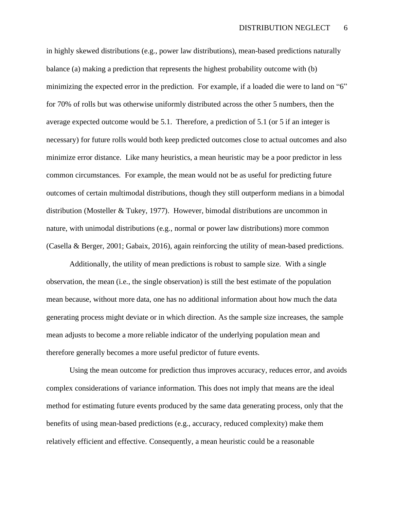in highly skewed distributions (e.g., power law distributions), mean-based predictions naturally balance (a) making a prediction that represents the highest probability outcome with (b) minimizing the expected error in the prediction. For example, if a loaded die were to land on "6" for 70% of rolls but was otherwise uniformly distributed across the other 5 numbers, then the average expected outcome would be 5.1. Therefore, a prediction of 5.1 (or 5 if an integer is necessary) for future rolls would both keep predicted outcomes close to actual outcomes and also minimize error distance. Like many heuristics, a mean heuristic may be a poor predictor in less common circumstances. For example, the mean would not be as useful for predicting future outcomes of certain multimodal distributions, though they still outperform medians in a bimodal distribution (Mosteller & Tukey, 1977). However, bimodal distributions are uncommon in nature, with unimodal distributions (e.g., normal or power law distributions) more common (Casella & Berger, 2001; Gabaix, 2016), again reinforcing the utility of mean-based predictions.

Additionally, the utility of mean predictions is robust to sample size. With a single observation, the mean (i.e., the single observation) is still the best estimate of the population mean because, without more data, one has no additional information about how much the data generating process might deviate or in which direction. As the sample size increases, the sample mean adjusts to become a more reliable indicator of the underlying population mean and therefore generally becomes a more useful predictor of future events.

Using the mean outcome for prediction thus improves accuracy, reduces error, and avoids complex considerations of variance information. This does not imply that means are the ideal method for estimating future events produced by the same data generating process, only that the benefits of using mean-based predictions (e.g., accuracy, reduced complexity) make them relatively efficient and effective. Consequently, a mean heuristic could be a reasonable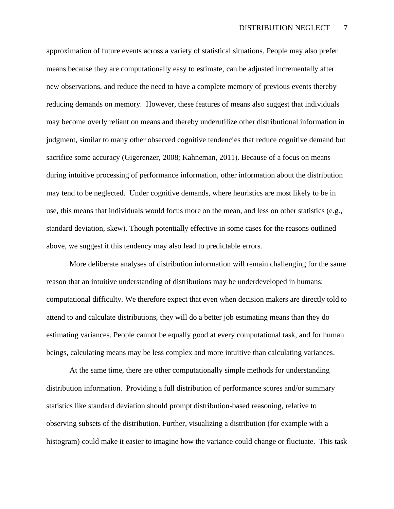approximation of future events across a variety of statistical situations. People may also prefer means because they are computationally easy to estimate, can be adjusted incrementally after new observations, and reduce the need to have a complete memory of previous events thereby reducing demands on memory. However, these features of means also suggest that individuals may become overly reliant on means and thereby underutilize other distributional information in judgment, similar to many other observed cognitive tendencies that reduce cognitive demand but sacrifice some accuracy (Gigerenzer, 2008; Kahneman, 2011). Because of a focus on means during intuitive processing of performance information, other information about the distribution may tend to be neglected. Under cognitive demands, where heuristics are most likely to be in use, this means that individuals would focus more on the mean, and less on other statistics (e.g., standard deviation, skew). Though potentially effective in some cases for the reasons outlined above, we suggest it this tendency may also lead to predictable errors.

More deliberate analyses of distribution information will remain challenging for the same reason that an intuitive understanding of distributions may be underdeveloped in humans: computational difficulty. We therefore expect that even when decision makers are directly told to attend to and calculate distributions, they will do a better job estimating means than they do estimating variances. People cannot be equally good at every computational task, and for human beings, calculating means may be less complex and more intuitive than calculating variances.

At the same time, there are other computationally simple methods for understanding distribution information. Providing a full distribution of performance scores and/or summary statistics like standard deviation should prompt distribution-based reasoning, relative to observing subsets of the distribution. Further, visualizing a distribution (for example with a histogram) could make it easier to imagine how the variance could change or fluctuate. This task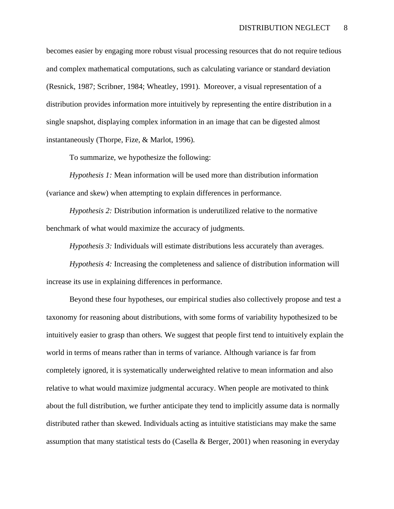becomes easier by engaging more robust visual processing resources that do not require tedious and complex mathematical computations, such as calculating variance or standard deviation (Resnick, 1987; Scribner, 1984; Wheatley, 1991). Moreover, a visual representation of a distribution provides information more intuitively by representing the entire distribution in a single snapshot, displaying complex information in an image that can be digested almost instantaneously (Thorpe, Fize, & Marlot, 1996).

To summarize, we hypothesize the following:

*Hypothesis 1:* Mean information will be used more than distribution information (variance and skew) when attempting to explain differences in performance.

*Hypothesis 2:* Distribution information is underutilized relative to the normative benchmark of what would maximize the accuracy of judgments.

*Hypothesis 3:* Individuals will estimate distributions less accurately than averages.

*Hypothesis 4:* Increasing the completeness and salience of distribution information will increase its use in explaining differences in performance.

Beyond these four hypotheses, our empirical studies also collectively propose and test a taxonomy for reasoning about distributions, with some forms of variability hypothesized to be intuitively easier to grasp than others. We suggest that people first tend to intuitively explain the world in terms of means rather than in terms of variance. Although variance is far from completely ignored, it is systematically underweighted relative to mean information and also relative to what would maximize judgmental accuracy. When people are motivated to think about the full distribution, we further anticipate they tend to implicitly assume data is normally distributed rather than skewed. Individuals acting as intuitive statisticians may make the same assumption that many statistical tests do (Casella & Berger, 2001) when reasoning in everyday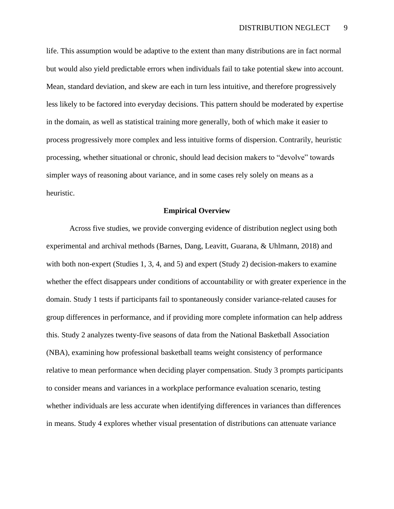life. This assumption would be adaptive to the extent than many distributions are in fact normal but would also yield predictable errors when individuals fail to take potential skew into account. Mean, standard deviation, and skew are each in turn less intuitive, and therefore progressively less likely to be factored into everyday decisions. This pattern should be moderated by expertise in the domain, as well as statistical training more generally, both of which make it easier to process progressively more complex and less intuitive forms of dispersion. Contrarily, heuristic processing, whether situational or chronic, should lead decision makers to "devolve" towards simpler ways of reasoning about variance, and in some cases rely solely on means as a heuristic.

#### **Empirical Overview**

Across five studies, we provide converging evidence of distribution neglect using both experimental and archival methods (Barnes, Dang, Leavitt, Guarana, & Uhlmann, 2018) and with both non-expert (Studies 1, 3, 4, and 5) and expert (Study 2) decision-makers to examine whether the effect disappears under conditions of accountability or with greater experience in the domain. Study 1 tests if participants fail to spontaneously consider variance-related causes for group differences in performance, and if providing more complete information can help address this. Study 2 analyzes twenty-five seasons of data from the National Basketball Association (NBA), examining how professional basketball teams weight consistency of performance relative to mean performance when deciding player compensation. Study 3 prompts participants to consider means and variances in a workplace performance evaluation scenario, testing whether individuals are less accurate when identifying differences in variances than differences in means. Study 4 explores whether visual presentation of distributions can attenuate variance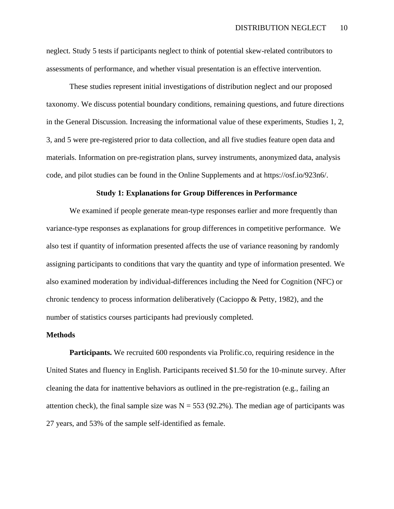neglect. Study 5 tests if participants neglect to think of potential skew-related contributors to assessments of performance, and whether visual presentation is an effective intervention.

These studies represent initial investigations of distribution neglect and our proposed taxonomy. We discuss potential boundary conditions, remaining questions, and future directions in the General Discussion. Increasing the informational value of these experiments, Studies 1, 2, 3, and 5 were pre-registered prior to data collection, and all five studies feature open data and materials. Information on pre-registration plans, survey instruments, anonymized data, analysis code, and pilot studies can be found in the Online Supplements and at https://osf.io/923n6/.

#### **Study 1: Explanations for Group Differences in Performance**

We examined if people generate mean-type responses earlier and more frequently than variance-type responses as explanations for group differences in competitive performance. We also test if quantity of information presented affects the use of variance reasoning by randomly assigning participants to conditions that vary the quantity and type of information presented. We also examined moderation by individual-differences including the Need for Cognition (NFC) or chronic tendency to process information deliberatively (Cacioppo & Petty, 1982), and the number of statistics courses participants had previously completed.

#### **Methods**

Participants. We recruited 600 respondents via Prolific.co, requiring residence in the United States and fluency in English. Participants received \$1.50 for the 10-minute survey. After cleaning the data for inattentive behaviors as outlined in the pre-registration (e.g., failing an attention check), the final sample size was  $N = 553$  (92.2%). The median age of participants was 27 years, and 53% of the sample self-identified as female.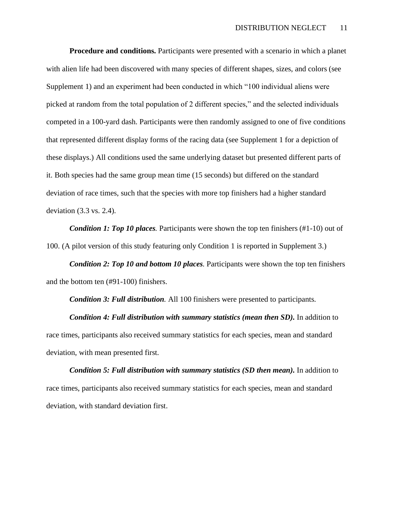**Procedure and conditions.** Participants were presented with a scenario in which a planet with alien life had been discovered with many species of different shapes, sizes, and colors (see Supplement 1) and an experiment had been conducted in which "100 individual aliens were picked at random from the total population of 2 different species," and the selected individuals competed in a 100-yard dash. Participants were then randomly assigned to one of five conditions that represented different display forms of the racing data (see Supplement 1 for a depiction of these displays.) All conditions used the same underlying dataset but presented different parts of it. Both species had the same group mean time (15 seconds) but differed on the standard deviation of race times, such that the species with more top finishers had a higher standard deviation (3.3 vs. 2.4).

*Condition 1: Top 10 places.* Participants were shown the top ten finishers (#1-10) out of 100. (A pilot version of this study featuring only Condition 1 is reported in Supplement 3.)

*Condition 2: Top 10 and bottom 10 places.* Participants were shown the top ten finishers and the bottom ten (#91-100) finishers.

*Condition 3: Full distribution.* All 100 finishers were presented to participants.

*Condition 4: Full distribution with summary statistics (mean then SD).* In addition to race times, participants also received summary statistics for each species, mean and standard deviation, with mean presented first.

*Condition 5: Full distribution with summary statistics (SD then mean).* In addition to race times, participants also received summary statistics for each species, mean and standard deviation, with standard deviation first.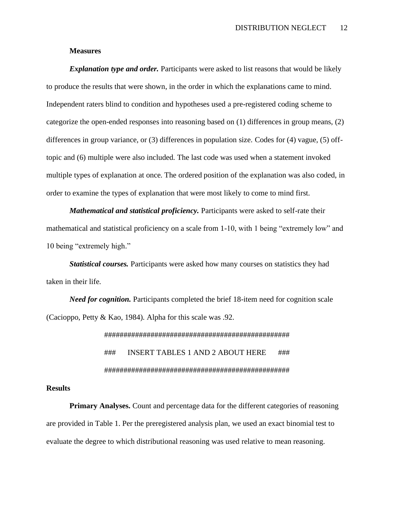#### **Measures**

*Explanation type and order.* Participants were asked to list reasons that would be likely to produce the results that were shown, in the order in which the explanations came to mind. Independent raters blind to condition and hypotheses used a pre-registered coding scheme to categorize the open-ended responses into reasoning based on (1) differences in group means, (2) differences in group variance, or (3) differences in population size. Codes for (4) vague, (5) offtopic and (6) multiple were also included. The last code was used when a statement invoked multiple types of explanation at once. The ordered position of the explanation was also coded, in order to examine the types of explanation that were most likely to come to mind first.

*Mathematical and statistical proficiency.* Participants were asked to self-rate their mathematical and statistical proficiency on a scale from 1-10, with 1 being "extremely low" and 10 being "extremely high."

*Statistical courses.* Participants were asked how many courses on statistics they had taken in their life.

*Need for cognition.* Participants completed the brief 18-item need for cognition scale (Cacioppo, Petty & Kao, 1984). Alpha for this scale was .92.

> ################################################ ### INSERT TABLES 1 AND 2 ABOUT HERE ### ################################################

#### **Results**

**Primary Analyses.** Count and percentage data for the different categories of reasoning are provided in Table 1. Per the preregistered analysis plan, we used an exact binomial test to evaluate the degree to which distributional reasoning was used relative to mean reasoning.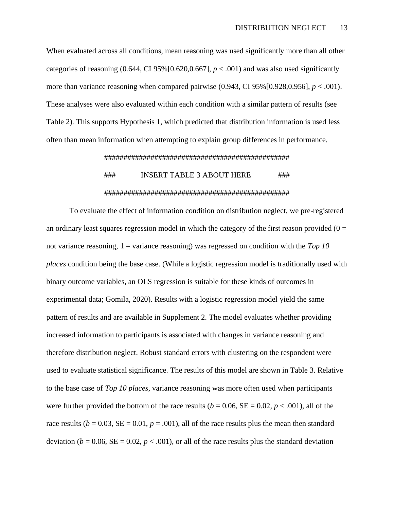When evaluated across all conditions, mean reasoning was used significantly more than all other categories of reasoning  $(0.644, C195\% [0.620, 0.667], p < .001)$  and was also used significantly more than variance reasoning when compared pairwise  $(0.943, C195\%[0.928, 0.956], p < .001)$ . These analyses were also evaluated within each condition with a similar pattern of results (see Table 2). This supports Hypothesis 1, which predicted that distribution information is used less often than mean information when attempting to explain group differences in performance.

#### ################################################

## ### INSERT TABLE 3 ABOUT HERE ### ################################################

To evaluate the effect of information condition on distribution neglect, we pre-registered an ordinary least squares regression model in which the category of the first reason provided ( $0 =$ not variance reasoning, 1 = variance reasoning) was regressed on condition with the *Top 10 places* condition being the base case. (While a logistic regression model is traditionally used with binary outcome variables, an OLS regression is suitable for these kinds of outcomes in experimental data; Gomila, 2020). Results with a logistic regression model yield the same pattern of results and are available in Supplement 2. The model evaluates whether providing increased information to participants is associated with changes in variance reasoning and therefore distribution neglect. Robust standard errors with clustering on the respondent were used to evaluate statistical significance. The results of this model are shown in Table 3. Relative to the base case of *Top 10 places*, variance reasoning was more often used when participants were further provided the bottom of the race results ( $b = 0.06$ ,  $SE = 0.02$ ,  $p < .001$ ), all of the race results ( $b = 0.03$ ,  $SE = 0.01$ ,  $p = .001$ ), all of the race results plus the mean then standard deviation ( $b = 0.06$ ,  $SE = 0.02$ ,  $p < .001$ ), or all of the race results plus the standard deviation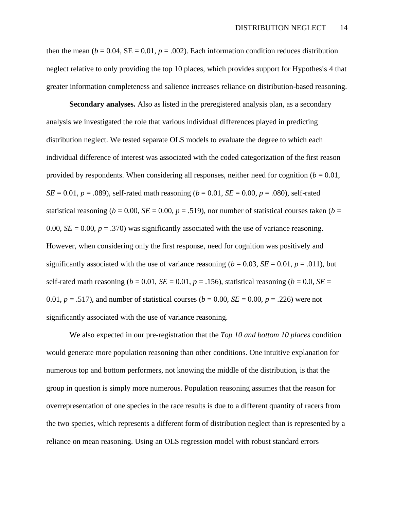then the mean ( $b = 0.04$ ,  $SE = 0.01$ ,  $p = .002$ ). Each information condition reduces distribution neglect relative to only providing the top 10 places, which provides support for Hypothesis 4 that greater information completeness and salience increases reliance on distribution-based reasoning.

**Secondary analyses.** Also as listed in the preregistered analysis plan, as a secondary analysis we investigated the role that various individual differences played in predicting distribution neglect. We tested separate OLS models to evaluate the degree to which each individual difference of interest was associated with the coded categorization of the first reason provided by respondents. When considering all responses, neither need for cognition  $(b = 0.01,$ *SE* = 0.01, *p* = .089), self-rated math reasoning (*b* = 0.01, *SE* = 0.00, *p* = .080), self-rated statistical reasoning ( $b = 0.00$ ,  $SE = 0.00$ ,  $p = .519$ ), nor number of statistical courses taken ( $b =$ 0.00,  $SE = 0.00$ ,  $p = .370$ ) was significantly associated with the use of variance reasoning. However, when considering only the first response, need for cognition was positively and significantly associated with the use of variance reasoning ( $b = 0.03$ ,  $SE = 0.01$ ,  $p = .011$ ), but self-rated math reasoning ( $b = 0.01$ ,  $SE = 0.01$ ,  $p = 0.156$ ), statistical reasoning ( $b = 0.0$ ,  $SE = 0.01$ 0.01,  $p = .517$ ), and number of statistical courses ( $b = 0.00$ ,  $SE = 0.00$ ,  $p = .226$ ) were not significantly associated with the use of variance reasoning.

We also expected in our pre-registration that the *Top 10 and bottom 10 places* condition would generate more population reasoning than other conditions. One intuitive explanation for numerous top and bottom performers, not knowing the middle of the distribution, is that the group in question is simply more numerous. Population reasoning assumes that the reason for overrepresentation of one species in the race results is due to a different quantity of racers from the two species, which represents a different form of distribution neglect than is represented by a reliance on mean reasoning. Using an OLS regression model with robust standard errors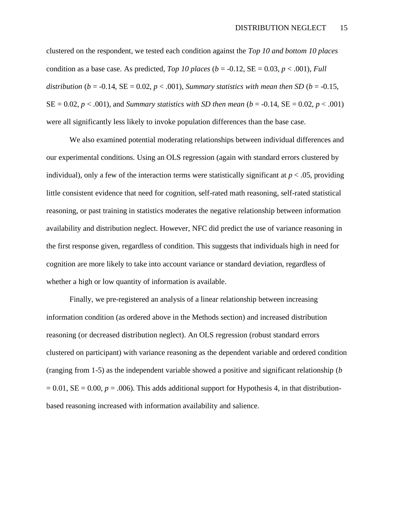clustered on the respondent, we tested each condition against the *Top 10 and bottom 10 places* condition as a base case. As predicted, *Top 10 places* ( $b = -0.12$ ,  $SE = 0.03$ ,  $p < .001$ ), *Full distribution* ( $b = -0.14$ ,  $SE = 0.02$ ,  $p < .001$ ), *Summary statistics with mean then SD* ( $b = -0.15$ ,  $SE = 0.02, p < .001$ , and *Summary statistics with SD then mean* ( $b = -0.14$ ,  $SE = 0.02, p < .001$ ) were all significantly less likely to invoke population differences than the base case.

We also examined potential moderating relationships between individual differences and our experimental conditions. Using an OLS regression (again with standard errors clustered by individual), only a few of the interaction terms were statistically significant at  $p < .05$ , providing little consistent evidence that need for cognition, self-rated math reasoning, self-rated statistical reasoning, or past training in statistics moderates the negative relationship between information availability and distribution neglect. However, NFC did predict the use of variance reasoning in the first response given, regardless of condition. This suggests that individuals high in need for cognition are more likely to take into account variance or standard deviation, regardless of whether a high or low quantity of information is available.

Finally, we pre-registered an analysis of a linear relationship between increasing information condition (as ordered above in the Methods section) and increased distribution reasoning (or decreased distribution neglect). An OLS regression (robust standard errors clustered on participant) with variance reasoning as the dependent variable and ordered condition (ranging from 1-5) as the independent variable showed a positive and significant relationship (*b*   $= 0.01$ , SE  $= 0.00$ ,  $p = .006$ ). This adds additional support for Hypothesis 4, in that distributionbased reasoning increased with information availability and salience.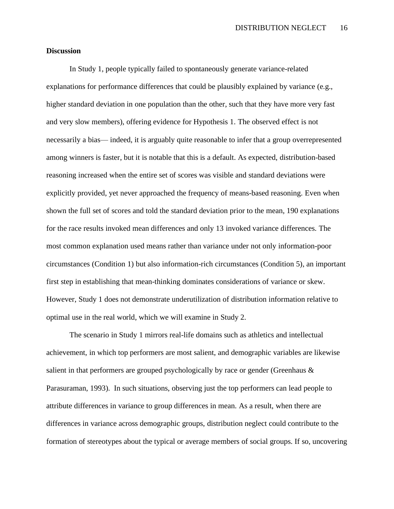DISTRIBUTION NEGLECT 16

#### **Discussion**

In Study 1, people typically failed to spontaneously generate variance-related explanations for performance differences that could be plausibly explained by variance (e.g., higher standard deviation in one population than the other, such that they have more very fast and very slow members), offering evidence for Hypothesis 1. The observed effect is not necessarily a bias— indeed, it is arguably quite reasonable to infer that a group overrepresented among winners is faster, but it is notable that this is a default. As expected, distribution-based reasoning increased when the entire set of scores was visible and standard deviations were explicitly provided, yet never approached the frequency of means-based reasoning. Even when shown the full set of scores and told the standard deviation prior to the mean, 190 explanations for the race results invoked mean differences and only 13 invoked variance differences. The most common explanation used means rather than variance under not only information-poor circumstances (Condition 1) but also information-rich circumstances (Condition 5), an important first step in establishing that mean-thinking dominates considerations of variance or skew. However, Study 1 does not demonstrate underutilization of distribution information relative to optimal use in the real world, which we will examine in Study 2.

The scenario in Study 1 mirrors real-life domains such as athletics and intellectual achievement, in which top performers are most salient, and demographic variables are likewise salient in that performers are grouped psychologically by race or gender (Greenhaus & Parasuraman, 1993). In such situations, observing just the top performers can lead people to attribute differences in variance to group differences in mean. As a result, when there are differences in variance across demographic groups, distribution neglect could contribute to the formation of stereotypes about the typical or average members of social groups. If so, uncovering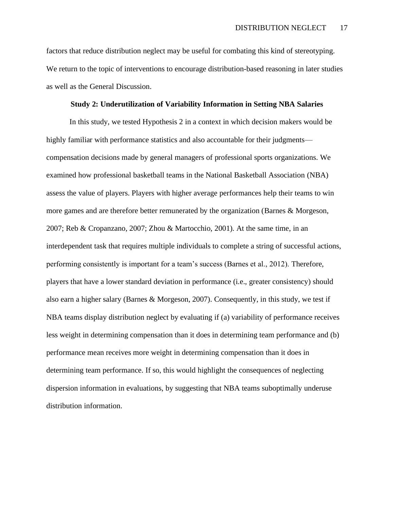factors that reduce distribution neglect may be useful for combating this kind of stereotyping. We return to the topic of interventions to encourage distribution-based reasoning in later studies as well as the General Discussion.

### **Study 2: Underutilization of Variability Information in Setting NBA Salaries**

In this study, we tested Hypothesis 2 in a context in which decision makers would be highly familiar with performance statistics and also accountable for their judgments compensation decisions made by general managers of professional sports organizations. We examined how professional basketball teams in the National Basketball Association (NBA) assess the value of players. Players with higher average performances help their teams to win more games and are therefore better remunerated by the organization (Barnes & Morgeson, 2007; Reb & Cropanzano, 2007; Zhou & Martocchio, 2001). At the same time, in an interdependent task that requires multiple individuals to complete a string of successful actions, performing consistently is important for a team's success (Barnes et al., 2012). Therefore, players that have a lower standard deviation in performance (i.e., greater consistency) should also earn a higher salary (Barnes & Morgeson, 2007). Consequently, in this study, we test if NBA teams display distribution neglect by evaluating if (a) variability of performance receives less weight in determining compensation than it does in determining team performance and (b) performance mean receives more weight in determining compensation than it does in determining team performance. If so, this would highlight the consequences of neglecting dispersion information in evaluations, by suggesting that NBA teams suboptimally underuse distribution information.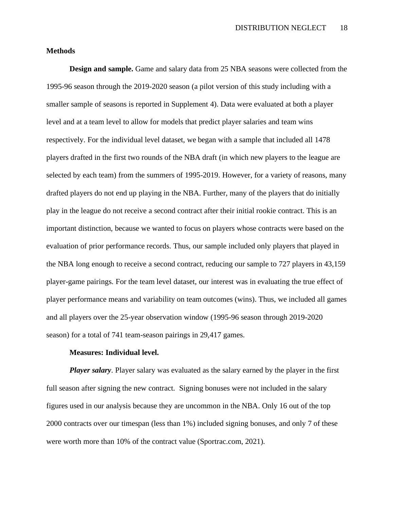#### **Methods**

**Design and sample.** Game and salary data from 25 NBA seasons were collected from the 1995-96 season through the 2019-2020 season (a pilot version of this study including with a smaller sample of seasons is reported in Supplement 4). Data were evaluated at both a player level and at a team level to allow for models that predict player salaries and team wins respectively. For the individual level dataset, we began with a sample that included all 1478 players drafted in the first two rounds of the NBA draft (in which new players to the league are selected by each team) from the summers of 1995-2019. However, for a variety of reasons, many drafted players do not end up playing in the NBA. Further, many of the players that do initially play in the league do not receive a second contract after their initial rookie contract. This is an important distinction, because we wanted to focus on players whose contracts were based on the evaluation of prior performance records. Thus, our sample included only players that played in the NBA long enough to receive a second contract, reducing our sample to 727 players in 43,159 player-game pairings. For the team level dataset, our interest was in evaluating the true effect of player performance means and variability on team outcomes (wins). Thus, we included all games and all players over the 25-year observation window (1995-96 season through 2019-2020 season) for a total of 741 team-season pairings in 29,417 games.

#### **Measures: Individual level.**

*Player salary*. Player salary was evaluated as the salary earned by the player in the first full season after signing the new contract. Signing bonuses were not included in the salary figures used in our analysis because they are uncommon in the NBA. Only 16 out of the top 2000 contracts over our timespan (less than 1%) included signing bonuses, and only 7 of these were worth more than 10% of the contract value (Sportrac.com, 2021).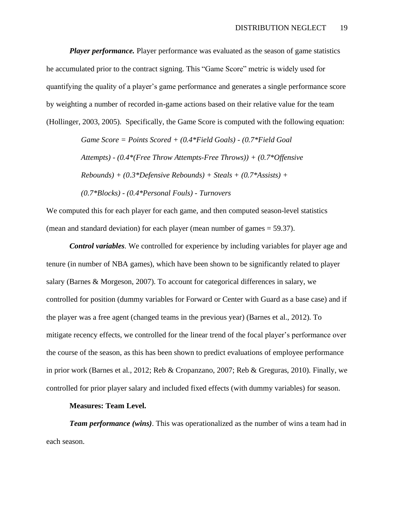*Player performance*. Player performance was evaluated as the season of game statistics he accumulated prior to the contract signing. This "Game Score" metric is widely used for quantifying the quality of a player's game performance and generates a single performance score by weighting a number of recorded in-game actions based on their relative value for the team (Hollinger, 2003, 2005). Specifically, the Game Score is computed with the following equation:

> *Game Score = Points Scored + (0.4\*Field Goals) - (0.7\*Field Goal Attempts) - (0.4\*(Free Throw Attempts-Free Throws)) + (0.7\*Offensive Rebounds) + (0.3\*Defensive Rebounds) + Steals + (0.7\*Assists) + (0.7\*Blocks) - (0.4\*Personal Fouls) - Turnovers*

We computed this for each player for each game, and then computed season-level statistics (mean and standard deviation) for each player (mean number of games = 59.37).

*Control variables*. We controlled for experience by including variables for player age and tenure (in number of NBA games), which have been shown to be significantly related to player salary (Barnes & Morgeson, 2007). To account for categorical differences in salary, we controlled for position (dummy variables for Forward or Center with Guard as a base case) and if the player was a free agent (changed teams in the previous year) (Barnes et al., 2012). To mitigate recency effects, we controlled for the linear trend of the focal player's performance over the course of the season, as this has been shown to predict evaluations of employee performance in prior work (Barnes et al., 2012; Reb & Cropanzano, 2007; Reb & Greguras, 2010). Finally, we controlled for prior player salary and included fixed effects (with dummy variables) for season.

#### **Measures: Team Level.**

*Team performance (wins)*. This was operationalized as the number of wins a team had in each season.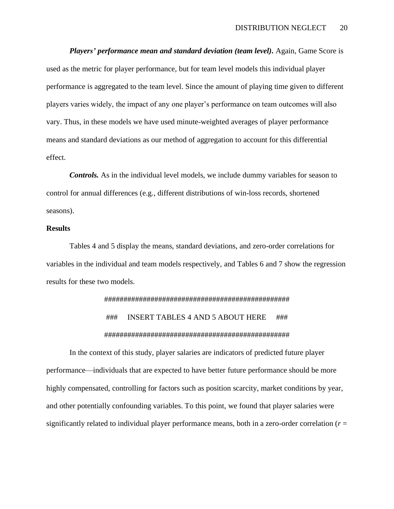*Players' performance mean and standard deviation (team level).* Again, Game Score is used as the metric for player performance, but for team level models this individual player performance is aggregated to the team level. Since the amount of playing time given to different players varies widely, the impact of any one player's performance on team outcomes will also vary. Thus, in these models we have used minute-weighted averages of player performance means and standard deviations as our method of aggregation to account for this differential effect.

*Controls.* As in the individual level models, we include dummy variables for season to control for annual differences (e.g., different distributions of win-loss records, shortened seasons).

#### **Results**

Tables 4 and 5 display the means, standard deviations, and zero-order correlations for variables in the individual and team models respectively, and Tables 6 and 7 show the regression results for these two models.

# ################################################ ### INSERT TABLES 4 AND 5 ABOUT HERE ### ################################################

In the context of this study, player salaries are indicators of predicted future player performance—individuals that are expected to have better future performance should be more highly compensated, controlling for factors such as position scarcity, market conditions by year, and other potentially confounding variables. To this point, we found that player salaries were significantly related to individual player performance means, both in a zero-order correlation  $(r =$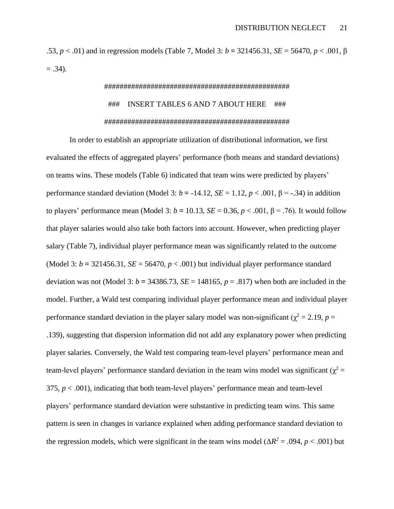.53, *p* < .01) and in regression models (Table 7, Model 3: *b* **=** 321456.31, *SE* = 56470, *p* < .001, β  $= .34$ ).

# ################################################ ### INSERT TABLES 6 AND 7 ABOUT HERE ### ################################################

In order to establish an appropriate utilization of distributional information, we first evaluated the effects of aggregated players' performance (both means and standard deviations) on teams wins. These models (Table 6) indicated that team wins were predicted by players' performance standard deviation (Model 3:  $b = -14.12$ ,  $SE = 1.12$ ,  $p < .001$ ,  $\beta = -.34$ ) in addition to players' performance mean (Model 3:  $b = 10.13$ ,  $SE = 0.36$ ,  $p < .001$ ,  $\beta = .76$ ). It would follow that player salaries would also take both factors into account. However, when predicting player salary (Table 7), individual player performance mean was significantly related to the outcome (Model 3:  $b = 321456.31$ ,  $SE = 56470$ ,  $p < .001$ ) but individual player performance standard deviation was not (Model 3:  $b = 34386.73$ ,  $SE = 148165$ ,  $p = .817$ ) when both are included in the model. Further, a Wald test comparing individual player performance mean and individual player performance standard deviation in the player salary model was non-significant ( $\chi^2 = 2.19$ ,  $p =$ .139), suggesting that dispersion information did not add any explanatory power when predicting player salaries. Conversely, the Wald test comparing team-level players' performance mean and team-level players' performance standard deviation in the team wins model was significant ( $\chi^2$  = 375, *p* < .001), indicating that both team-level players' performance mean and team-level players' performance standard deviation were substantive in predicting team wins. This same pattern is seen in changes in variance explained when adding performance standard deviation to the regression models, which were significant in the team wins model ( $\Delta R^2 = .094$ ,  $p < .001$ ) but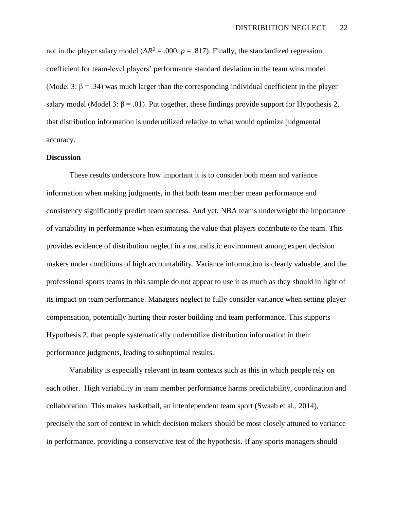not in the player salary model ( $\Delta R^2$  = .000, *p* = .817). Finally, the standardized regression coefficient for team-level players' performance standard deviation in the team wins model (Model 3:  $\beta$  = .34) was much larger than the corresponding individual coefficient in the player salary model (Model 3:  $\beta$  = .01). Put together, these findings provide support for Hypothesis 2, that distribution information is underutilized relative to what would optimize judgmental accuracy.

### **Discussion**

These results underscore how important it is to consider both mean and variance information when making judgments, in that both team member mean performance and consistency significantly predict team success. And yet, NBA teams underweight the importance of variability in performance when estimating the value that players contribute to the team. This provides evidence of distribution neglect in a naturalistic environment among expert decision makers under conditions of high accountability. Variance information is clearly valuable, and the professional sports teams in this sample do not appear to use it as much as they should in light of its impact on team performance. Managers neglect to fully consider variance when setting player compensation, potentially hurting their roster building and team performance. This supports Hypothesis 2, that people systematically underutilize distribution information in their performance judgments, leading to suboptimal results.

Variability is especially relevant in team contexts such as this in which people rely on each other. High variability in team member performance harms predictability, coordination and collaboration. This makes basketball, an interdependent team sport (Swaab et al., 2014), precisely the sort of context in which decision makers should be most closely attuned to variance in performance, providing a conservative test of the hypothesis. If any sports managers should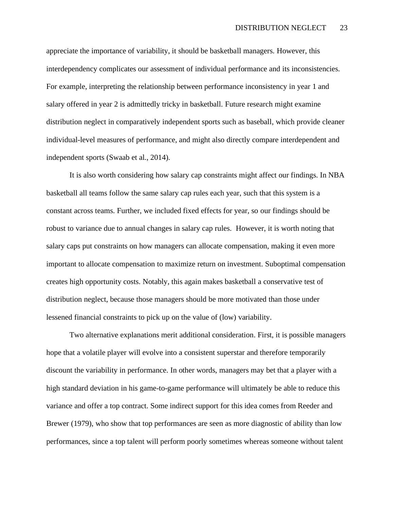appreciate the importance of variability, it should be basketball managers. However, this interdependency complicates our assessment of individual performance and its inconsistencies. For example, interpreting the relationship between performance inconsistency in year 1 and salary offered in year 2 is admittedly tricky in basketball. Future research might examine distribution neglect in comparatively independent sports such as baseball, which provide cleaner individual-level measures of performance, and might also directly compare interdependent and independent sports (Swaab et al., 2014).

It is also worth considering how salary cap constraints might affect our findings. In NBA basketball all teams follow the same salary cap rules each year, such that this system is a constant across teams. Further, we included fixed effects for year, so our findings should be robust to variance due to annual changes in salary cap rules. However, it is worth noting that salary caps put constraints on how managers can allocate compensation, making it even more important to allocate compensation to maximize return on investment. Suboptimal compensation creates high opportunity costs. Notably, this again makes basketball a conservative test of distribution neglect, because those managers should be more motivated than those under lessened financial constraints to pick up on the value of (low) variability.

Two alternative explanations merit additional consideration. First, it is possible managers hope that a volatile player will evolve into a consistent superstar and therefore temporarily discount the variability in performance. In other words, managers may bet that a player with a high standard deviation in his game-to-game performance will ultimately be able to reduce this variance and offer a top contract. Some indirect support for this idea comes from Reeder and Brewer (1979), who show that top performances are seen as more diagnostic of ability than low performances, since a top talent will perform poorly sometimes whereas someone without talent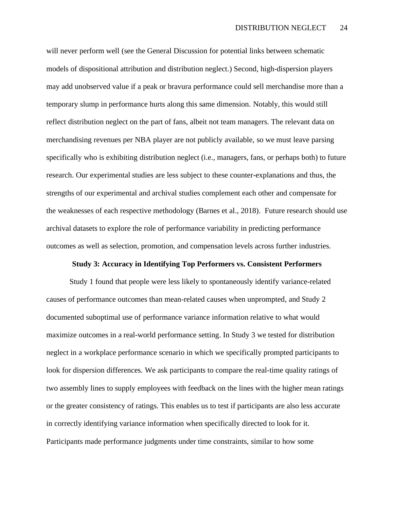will never perform well (see the General Discussion for potential links between schematic models of dispositional attribution and distribution neglect.) Second, high-dispersion players may add unobserved value if a peak or bravura performance could sell merchandise more than a temporary slump in performance hurts along this same dimension. Notably, this would still reflect distribution neglect on the part of fans, albeit not team managers. The relevant data on merchandising revenues per NBA player are not publicly available, so we must leave parsing specifically who is exhibiting distribution neglect (i.e., managers, fans, or perhaps both) to future research. Our experimental studies are less subject to these counter-explanations and thus, the strengths of our experimental and archival studies complement each other and compensate for the weaknesses of each respective methodology (Barnes et al., 2018). Future research should use archival datasets to explore the role of performance variability in predicting performance outcomes as well as selection, promotion, and compensation levels across further industries.

#### **Study 3: Accuracy in Identifying Top Performers vs. Consistent Performers**

Study 1 found that people were less likely to spontaneously identify variance-related causes of performance outcomes than mean-related causes when unprompted, and Study 2 documented suboptimal use of performance variance information relative to what would maximize outcomes in a real-world performance setting. In Study 3 we tested for distribution neglect in a workplace performance scenario in which we specifically prompted participants to look for dispersion differences. We ask participants to compare the real-time quality ratings of two assembly lines to supply employees with feedback on the lines with the higher mean ratings or the greater consistency of ratings. This enables us to test if participants are also less accurate in correctly identifying variance information when specifically directed to look for it. Participants made performance judgments under time constraints, similar to how some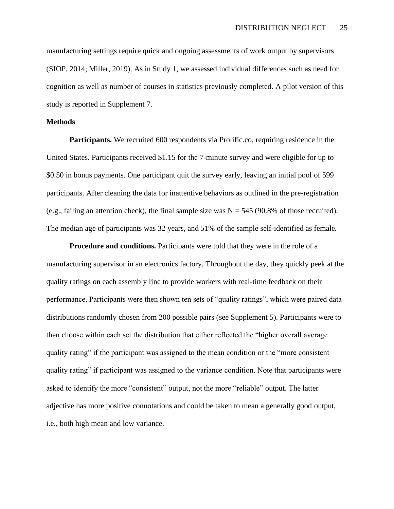manufacturing settings require quick and ongoing assessments of work output by supervisors (SIOP, 2014; Miller, 2019). As in Study 1, we assessed individual differences such as need for cognition as well as number of courses in statistics previously completed. A pilot version of this study is reported in Supplement 7.

#### **Methods**

**Participants.** We recruited 600 respondents via Prolific.co, requiring residence in the United States. Participants received \$1.15 for the 7-minute survey and were eligible for up to \$0.50 in bonus payments. One participant quit the survey early, leaving an initial pool of 599 participants. After cleaning the data for inattentive behaviors as outlined in the pre-registration (e.g., failing an attention check), the final sample size was  $N = 545$  (90.8% of those recruited). The median age of participants was 32 years, and 51% of the sample self-identified as female.

**Procedure and conditions.** Participants were told that they were in the role of a manufacturing supervisor in an electronics factory. Throughout the day, they quickly peek at the quality ratings on each assembly line to provide workers with real-time feedback on their performance. Participants were then shown ten sets of "quality ratings", which were paired data distributions randomly chosen from 200 possible pairs (see Supplement 5). Participants were to then choose within each set the distribution that either reflected the "higher overall average quality rating" if the participant was assigned to the mean condition or the "more consistent quality rating" if participant was assigned to the variance condition. Note that participants were asked to identify the more "consistent" output, not the more "reliable" output. The latter adjective has more positive connotations and could be taken to mean a generally good output, i.e., both high mean and low variance.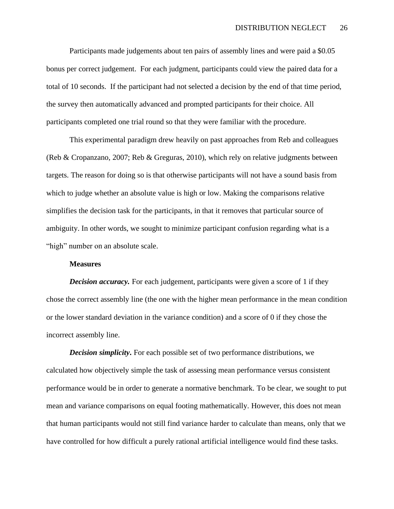Participants made judgements about ten pairs of assembly lines and were paid a \$0.05 bonus per correct judgement. For each judgment, participants could view the paired data for a total of 10 seconds. If the participant had not selected a decision by the end of that time period, the survey then automatically advanced and prompted participants for their choice. All participants completed one trial round so that they were familiar with the procedure.

This experimental paradigm drew heavily on past approaches from Reb and colleagues (Reb & Cropanzano, 2007; Reb & Greguras, 2010), which rely on relative judgments between targets. The reason for doing so is that otherwise participants will not have a sound basis from which to judge whether an absolute value is high or low. Making the comparisons relative simplifies the decision task for the participants, in that it removes that particular source of ambiguity. In other words, we sought to minimize participant confusion regarding what is a "high" number on an absolute scale.

#### **Measures**

*Decision accuracy.* For each judgement, participants were given a score of 1 if they chose the correct assembly line (the one with the higher mean performance in the mean condition or the lower standard deviation in the variance condition) and a score of 0 if they chose the incorrect assembly line.

*Decision simplicity***.** For each possible set of two performance distributions, we calculated how objectively simple the task of assessing mean performance versus consistent performance would be in order to generate a normative benchmark. To be clear, we sought to put mean and variance comparisons on equal footing mathematically. However, this does not mean that human participants would not still find variance harder to calculate than means, only that we have controlled for how difficult a purely rational artificial intelligence would find these tasks.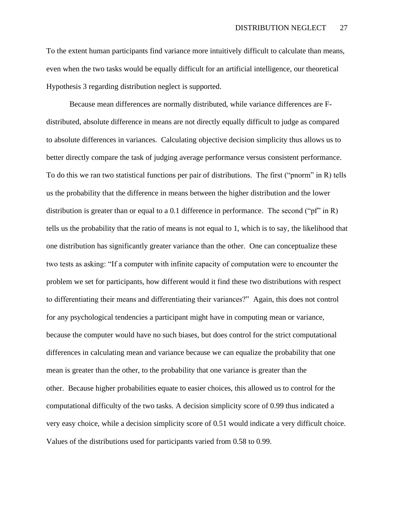To the extent human participants find variance more intuitively difficult to calculate than means, even when the two tasks would be equally difficult for an artificial intelligence, our theoretical Hypothesis 3 regarding distribution neglect is supported.

Because mean differences are normally distributed, while variance differences are Fdistributed, absolute difference in means are not directly equally difficult to judge as compared to absolute differences in variances. Calculating objective decision simplicity thus allows us to better directly compare the task of judging average performance versus consistent performance. To do this we ran two statistical functions per pair of distributions. The first ("pnorm" in R) tells us the probability that the difference in means between the higher distribution and the lower distribution is greater than or equal to a 0.1 difference in performance. The second (" $p f$ " in R) tells us the probability that the ratio of means is not equal to 1, which is to say, the likelihood that one distribution has significantly greater variance than the other. One can conceptualize these two tests as asking: "If a computer with infinite capacity of computation were to encounter the problem we set for participants, how different would it find these two distributions with respect to differentiating their means and differentiating their variances?" Again, this does not control for any psychological tendencies a participant might have in computing mean or variance, because the computer would have no such biases, but does control for the strict computational differences in calculating mean and variance because we can equalize the probability that one mean is greater than the other, to the probability that one variance is greater than the other. Because higher probabilities equate to easier choices, this allowed us to control for the computational difficulty of the two tasks. A decision simplicity score of 0.99 thus indicated a very easy choice, while a decision simplicity score of 0.51 would indicate a very difficult choice. Values of the distributions used for participants varied from 0.58 to 0.99.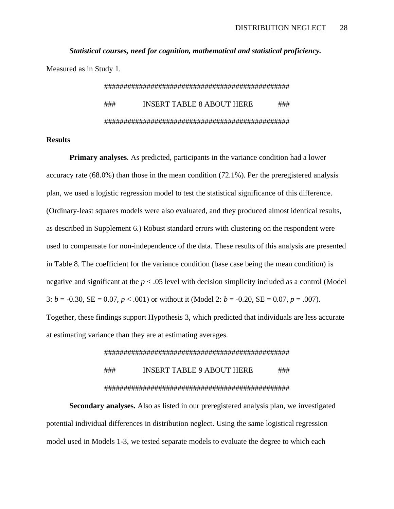*Statistical courses, need for cognition, mathematical and statistical proficiency.* Measured as in Study 1.

> ################################################ ### INSERT TABLE 8 ABOUT HERE ### ################################################

#### **Results**

**Primary analyses**. As predicted, participants in the variance condition had a lower accuracy rate (68.0%) than those in the mean condition (72.1%). Per the preregistered analysis plan, we used a logistic regression model to test the statistical significance of this difference. (Ordinary-least squares models were also evaluated, and they produced almost identical results, as described in Supplement 6.) Robust standard errors with clustering on the respondent were used to compensate for non-independence of the data. These results of this analysis are presented in Table 8. The coefficient for the variance condition (base case being the mean condition) is negative and significant at the *p* < .05 level with decision simplicity included as a control (Model 3:  $b = -0.30$ , SE = 0.07,  $p < .001$ ) or without it (Model 2:  $b = -0.20$ , SE = 0.07,  $p = .007$ ). Together, these findings support Hypothesis 3, which predicted that individuals are less accurate

at estimating variance than they are at estimating averages.

#### ################################################

## ### INSERT TABLE 9 ABOUT HERE ### ################################################

**Secondary analyses.** Also as listed in our preregistered analysis plan, we investigated potential individual differences in distribution neglect. Using the same logistical regression model used in Models 1-3, we tested separate models to evaluate the degree to which each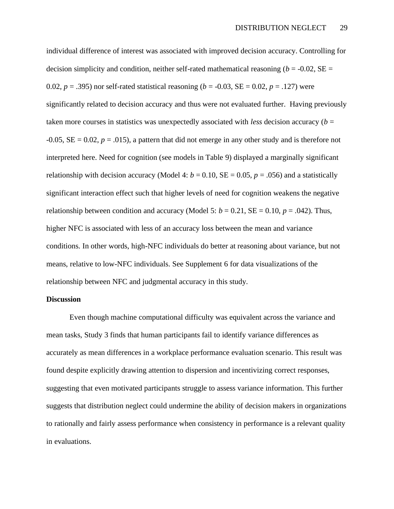individual difference of interest was associated with improved decision accuracy. Controlling for decision simplicity and condition, neither self-rated mathematical reasoning ( $b = -0.02$ , SE = 0.02,  $p = .395$ ) nor self-rated statistical reasoning ( $b = -0.03$ ,  $SE = 0.02$ ,  $p = .127$ ) were significantly related to decision accuracy and thus were not evaluated further. Having previously taken more courses in statistics was unexpectedly associated with *less* decision accuracy (*b* =  $-0.05$ ,  $SE = 0.02$ ,  $p = .015$ ), a pattern that did not emerge in any other study and is therefore not interpreted here. Need for cognition (see models in Table 9) displayed a marginally significant relationship with decision accuracy (Model 4:  $b = 0.10$ , SE = 0.05,  $p = .056$ ) and a statistically significant interaction effect such that higher levels of need for cognition weakens the negative relationship between condition and accuracy (Model 5:  $b = 0.21$ , SE = 0.10,  $p = .042$ ). Thus, higher NFC is associated with less of an accuracy loss between the mean and variance conditions. In other words, high-NFC individuals do better at reasoning about variance, but not means, relative to low-NFC individuals. See Supplement 6 for data visualizations of the relationship between NFC and judgmental accuracy in this study.

#### **Discussion**

Even though machine computational difficulty was equivalent across the variance and mean tasks, Study 3 finds that human participants fail to identify variance differences as accurately as mean differences in a workplace performance evaluation scenario. This result was found despite explicitly drawing attention to dispersion and incentivizing correct responses, suggesting that even motivated participants struggle to assess variance information. This further suggests that distribution neglect could undermine the ability of decision makers in organizations to rationally and fairly assess performance when consistency in performance is a relevant quality in evaluations.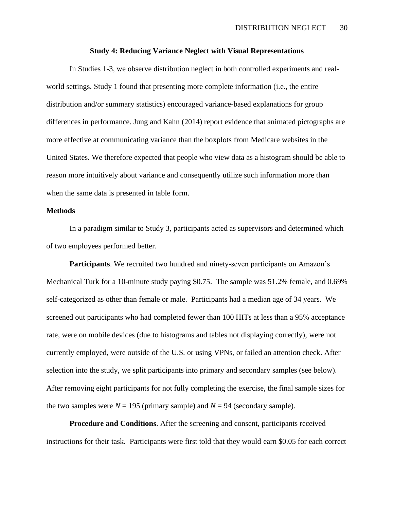#### **Study 4: Reducing Variance Neglect with Visual Representations**

In Studies 1-3, we observe distribution neglect in both controlled experiments and realworld settings. Study 1 found that presenting more complete information (i.e., the entire distribution and/or summary statistics) encouraged variance-based explanations for group differences in performance. Jung and Kahn (2014) report evidence that animated pictographs are more effective at communicating variance than the boxplots from Medicare websites in the United States. We therefore expected that people who view data as a histogram should be able to reason more intuitively about variance and consequently utilize such information more than when the same data is presented in table form.

#### **Methods**

In a paradigm similar to Study 3, participants acted as supervisors and determined which of two employees performed better.

**Participants**. We recruited two hundred and ninety-seven participants on Amazon's Mechanical Turk for a 10-minute study paying \$0.75. The sample was 51.2% female, and 0.69% self-categorized as other than female or male. Participants had a median age of 34 years. We screened out participants who had completed fewer than 100 HITs at less than a 95% acceptance rate, were on mobile devices (due to histograms and tables not displaying correctly), were not currently employed, were outside of the U.S. or using VPNs, or failed an attention check. After selection into the study, we split participants into primary and secondary samples (see below). After removing eight participants for not fully completing the exercise, the final sample sizes for the two samples were  $N = 195$  (primary sample) and  $N = 94$  (secondary sample).

**Procedure and Conditions**. After the screening and consent, participants received instructions for their task. Participants were first told that they would earn \$0.05 for each correct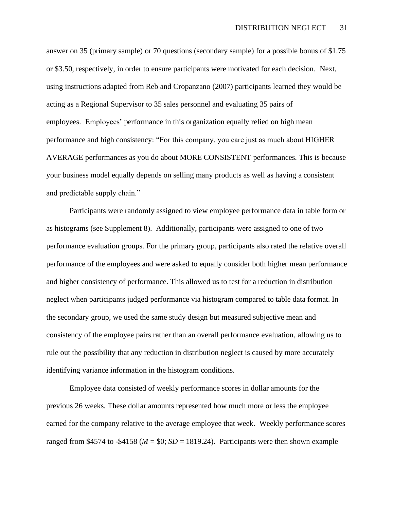answer on 35 (primary sample) or 70 questions (secondary sample) for a possible bonus of \$1.75 or \$3.50, respectively, in order to ensure participants were motivated for each decision. Next, using instructions adapted from Reb and Cropanzano (2007) participants learned they would be acting as a Regional Supervisor to 35 sales personnel and evaluating 35 pairs of employees. Employees' performance in this organization equally relied on high mean performance and high consistency: "For this company, you care just as much about HIGHER AVERAGE performances as you do about MORE CONSISTENT performances. This is because your business model equally depends on selling many products as well as having a consistent and predictable supply chain."

Participants were randomly assigned to view employee performance data in table form or as histograms (see Supplement 8). Additionally, participants were assigned to one of two performance evaluation groups. For the primary group, participants also rated the relative overall performance of the employees and were asked to equally consider both higher mean performance and higher consistency of performance. This allowed us to test for a reduction in distribution neglect when participants judged performance via histogram compared to table data format. In the secondary group, we used the same study design but measured subjective mean and consistency of the employee pairs rather than an overall performance evaluation, allowing us to rule out the possibility that any reduction in distribution neglect is caused by more accurately identifying variance information in the histogram conditions.

Employee data consisted of weekly performance scores in dollar amounts for the previous 26 weeks. These dollar amounts represented how much more or less the employee earned for the company relative to the average employee that week. Weekly performance scores ranged from \$4574 to -\$4158 ( $M = $0$ ;  $SD = 1819.24$ ). Participants were then shown example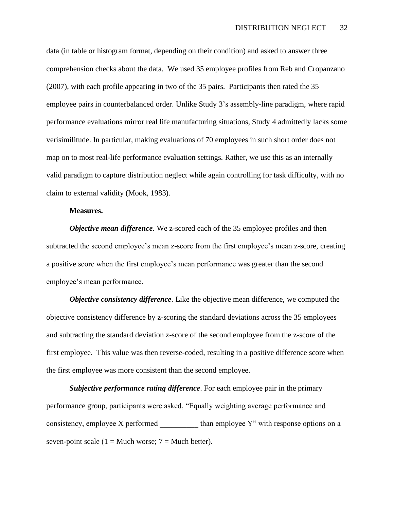data (in table or histogram format, depending on their condition) and asked to answer three comprehension checks about the data. We used 35 employee profiles from Reb and Cropanzano (2007), with each profile appearing in two of the 35 pairs. Participants then rated the 35 employee pairs in counterbalanced order. Unlike Study 3's assembly-line paradigm, where rapid performance evaluations mirror real life manufacturing situations, Study 4 admittedly lacks some verisimilitude. In particular, making evaluations of 70 employees in such short order does not map on to most real-life performance evaluation settings. Rather, we use this as an internally valid paradigm to capture distribution neglect while again controlling for task difficulty, with no claim to external validity (Mook, 1983).

#### **Measures.**

*Objective mean difference*. We z-scored each of the 35 employee profiles and then subtracted the second employee's mean z-score from the first employee's mean z-score, creating a positive score when the first employee's mean performance was greater than the second employee's mean performance.

*Objective consistency difference*. Like the objective mean difference, we computed the objective consistency difference by z-scoring the standard deviations across the 35 employees and subtracting the standard deviation z-score of the second employee from the z-score of the first employee. This value was then reverse-coded, resulting in a positive difference score when the first employee was more consistent than the second employee.

*Subjective performance rating difference*. For each employee pair in the primary performance group, participants were asked, "Equally weighting average performance and consistency, employee X performed than employee Y" with response options on a seven-point scale (1 = Much worse;  $7 =$  Much better).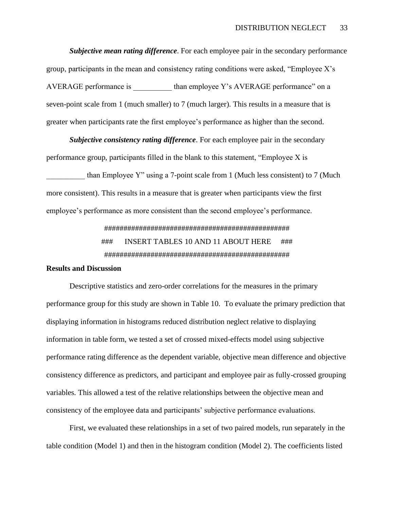*Subjective mean rating difference*. For each employee pair in the secondary performance group, participants in the mean and consistency rating conditions were asked, "Employee X's AVERAGE performance is than employee Y's AVERAGE performance" on a seven-point scale from 1 (much smaller) to 7 (much larger). This results in a measure that is greater when participants rate the first employee's performance as higher than the second.

*Subjective consistency rating difference*. For each employee pair in the secondary performance group, participants filled in the blank to this statement, "Employee X is

than Employee Y" using a 7-point scale from 1 (Much less consistent) to 7 (Much more consistent). This results in a measure that is greater when participants view the first employee's performance as more consistent than the second employee's performance.

> ################################################ ### INSERT TABLES 10 AND 11 ABOUT HERE ### ################################################

#### **Results and Discussion**

Descriptive statistics and zero-order correlations for the measures in the primary performance group for this study are shown in Table 10. To evaluate the primary prediction that displaying information in histograms reduced distribution neglect relative to displaying information in table form, we tested a set of crossed mixed-effects model using subjective performance rating difference as the dependent variable, objective mean difference and objective consistency difference as predictors, and participant and employee pair as fully-crossed grouping variables. This allowed a test of the relative relationships between the objective mean and consistency of the employee data and participants' subjective performance evaluations.

First, we evaluated these relationships in a set of two paired models, run separately in the table condition (Model 1) and then in the histogram condition (Model 2). The coefficients listed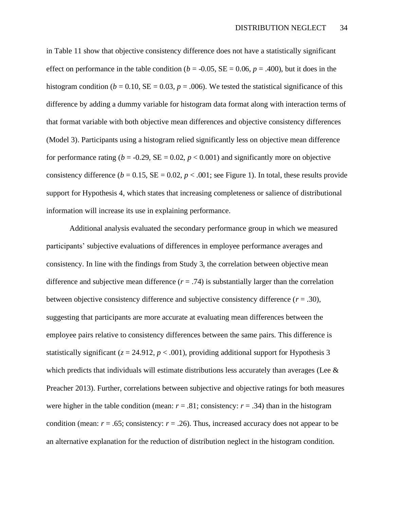in Table 11 show that objective consistency difference does not have a statistically significant effect on performance in the table condition ( $b = -0.05$ ,  $SE = 0.06$ ,  $p = .400$ ), but it does in the histogram condition ( $b = 0.10$ ,  $SE = 0.03$ ,  $p = .006$ ). We tested the statistical significance of this difference by adding a dummy variable for histogram data format along with interaction terms of that format variable with both objective mean differences and objective consistency differences (Model 3). Participants using a histogram relied significantly less on objective mean difference for performance rating ( $b = -0.29$ ,  $SE = 0.02$ ,  $p < 0.001$ ) and significantly more on objective consistency difference ( $b = 0.15$ ,  $SE = 0.02$ ,  $p < .001$ ; see Figure 1). In total, these results provide support for Hypothesis 4, which states that increasing completeness or salience of distributional information will increase its use in explaining performance.

Additional analysis evaluated the secondary performance group in which we measured participants' subjective evaluations of differences in employee performance averages and consistency. In line with the findings from Study 3, the correlation between objective mean difference and subjective mean difference  $(r = .74)$  is substantially larger than the correlation between objective consistency difference and subjective consistency difference (*r* = .30), suggesting that participants are more accurate at evaluating mean differences between the employee pairs relative to consistency differences between the same pairs. This difference is statistically significant ( $z = 24.912$ ,  $p < .001$ ), providing additional support for Hypothesis 3 which predicts that individuals will estimate distributions less accurately than averages (Lee  $\&$ Preacher 2013). Further, correlations between subjective and objective ratings for both measures were higher in the table condition (mean:  $r = .81$ ; consistency:  $r = .34$ ) than in the histogram condition (mean:  $r = .65$ ; consistency:  $r = .26$ ). Thus, increased accuracy does not appear to be an alternative explanation for the reduction of distribution neglect in the histogram condition.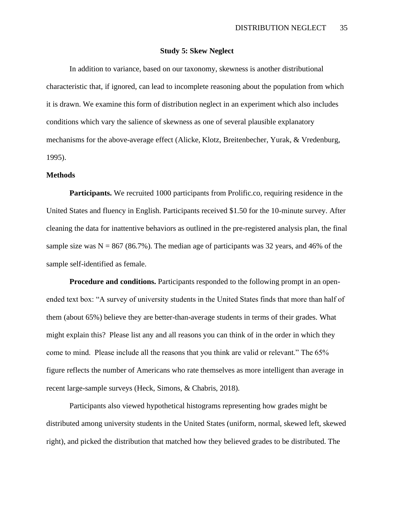#### **Study 5: Skew Neglect**

In addition to variance, based on our taxonomy, skewness is another distributional characteristic that, if ignored, can lead to incomplete reasoning about the population from which it is drawn. We examine this form of distribution neglect in an experiment which also includes conditions which vary the salience of skewness as one of several plausible explanatory mechanisms for the above-average effect (Alicke, Klotz, Breitenbecher, Yurak, & Vredenburg, 1995).

#### **Methods**

**Participants.** We recruited 1000 participants from Prolific.co, requiring residence in the United States and fluency in English. Participants received \$1.50 for the 10-minute survey. After cleaning the data for inattentive behaviors as outlined in the pre-registered analysis plan, the final sample size was  $N = 867 (86.7%)$ . The median age of participants was 32 years, and 46% of the sample self-identified as female.

**Procedure and conditions.** Participants responded to the following prompt in an openended text box: "A survey of university students in the United States finds that more than half of them (about 65%) believe they are better-than-average students in terms of their grades. What might explain this? Please list any and all reasons you can think of in the order in which they come to mind. Please include all the reasons that you think are valid or relevant." The 65% figure reflects the number of Americans who rate themselves as more intelligent than average in recent large-sample surveys (Heck, Simons, & Chabris, 2018).

Participants also viewed hypothetical histograms representing how grades might be distributed among university students in the United States (uniform, normal, skewed left, skewed right), and picked the distribution that matched how they believed grades to be distributed. The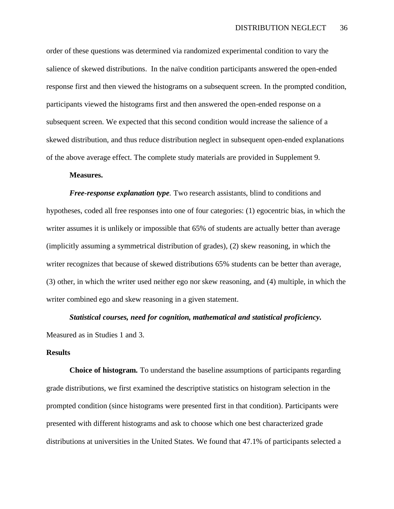order of these questions was determined via randomized experimental condition to vary the salience of skewed distributions. In the naïve condition participants answered the open-ended response first and then viewed the histograms on a subsequent screen. In the prompted condition, participants viewed the histograms first and then answered the open-ended response on a subsequent screen. We expected that this second condition would increase the salience of a skewed distribution, and thus reduce distribution neglect in subsequent open-ended explanations of the above average effect. The complete study materials are provided in Supplement 9.

#### **Measures.**

*Free-response explanation type.* Two research assistants, blind to conditions and hypotheses, coded all free responses into one of four categories: (1) egocentric bias, in which the writer assumes it is unlikely or impossible that 65% of students are actually better than average (implicitly assuming a symmetrical distribution of grades), (2) skew reasoning, in which the writer recognizes that because of skewed distributions 65% students can be better than average, (3) other, in which the writer used neither ego nor skew reasoning, and (4) multiple, in which the writer combined ego and skew reasoning in a given statement.

#### *Statistical courses, need for cognition, mathematical and statistical proficiency.*

Measured as in Studies 1 and 3.

#### **Results**

**Choice of histogram***.* To understand the baseline assumptions of participants regarding grade distributions, we first examined the descriptive statistics on histogram selection in the prompted condition (since histograms were presented first in that condition). Participants were presented with different histograms and ask to choose which one best characterized grade distributions at universities in the United States. We found that 47.1% of participants selected a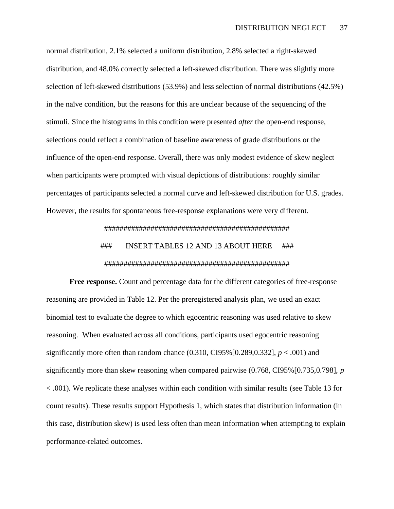normal distribution, 2.1% selected a uniform distribution, 2.8% selected a right-skewed distribution, and 48.0% correctly selected a left-skewed distribution. There was slightly more selection of left-skewed distributions (53.9%) and less selection of normal distributions (42.5%) in the naïve condition, but the reasons for this are unclear because of the sequencing of the stimuli. Since the histograms in this condition were presented *after* the open-end response, selections could reflect a combination of baseline awareness of grade distributions or the influence of the open-end response. Overall, there was only modest evidence of skew neglect when participants were prompted with visual depictions of distributions: roughly similar percentages of participants selected a normal curve and left-skewed distribution for U.S. grades. However, the results for spontaneous free-response explanations were very different.

################################################

## ### INSERT TABLES 12 AND 13 ABOUT HERE ### ################################################

**Free response.** Count and percentage data for the different categories of free-response reasoning are provided in Table 12. Per the preregistered analysis plan, we used an exact binomial test to evaluate the degree to which egocentric reasoning was used relative to skew reasoning. When evaluated across all conditions, participants used egocentric reasoning significantly more often than random chance  $(0.310, \text{CI}95\%/0.289, 0.332]$ ,  $p < .001$ ) and significantly more than skew reasoning when compared pairwise (0.768, CI95%[0.735,0.798], *p* < .001). We replicate these analyses within each condition with similar results (see Table 13 for count results). These results support Hypothesis 1, which states that distribution information (in this case, distribution skew) is used less often than mean information when attempting to explain performance-related outcomes.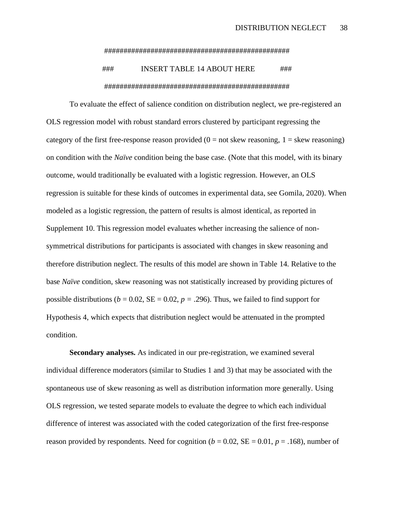#### ################################################

## ### INSERT TABLE 14 ABOUT HERE ### ################################################

To evaluate the effect of salience condition on distribution neglect, we pre-registered an OLS regression model with robust standard errors clustered by participant regressing the category of the first free-response reason provided ( $0 = not$  skew reasoning,  $1 =$  skew reasoning) on condition with the *Naïve* condition being the base case. (Note that this model, with its binary outcome, would traditionally be evaluated with a logistic regression. However, an OLS regression is suitable for these kinds of outcomes in experimental data, see Gomila, 2020). When modeled as a logistic regression, the pattern of results is almost identical, as reported in Supplement 10. This regression model evaluates whether increasing the salience of nonsymmetrical distributions for participants is associated with changes in skew reasoning and therefore distribution neglect. The results of this model are shown in Table 14. Relative to the base *Naïve* condition, skew reasoning was not statistically increased by providing pictures of possible distributions ( $b = 0.02$ ,  $SE = 0.02$ ,  $p = .296$ ). Thus, we failed to find support for Hypothesis 4, which expects that distribution neglect would be attenuated in the prompted condition.

**Secondary analyses.** As indicated in our pre-registration, we examined several individual difference moderators (similar to Studies 1 and 3) that may be associated with the spontaneous use of skew reasoning as well as distribution information more generally. Using OLS regression, we tested separate models to evaluate the degree to which each individual difference of interest was associated with the coded categorization of the first free-response reason provided by respondents. Need for cognition  $(b = 0.02, SE = 0.01, p = .168)$ , number of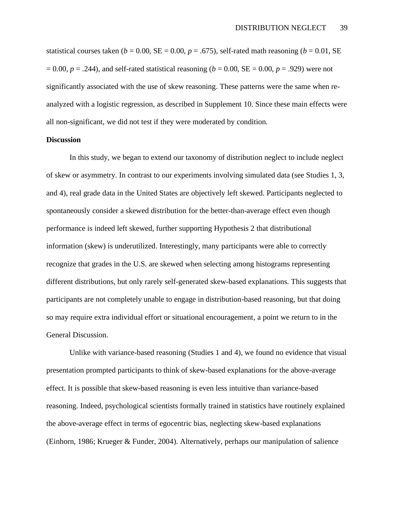statistical courses taken ( $b = 0.00$ , SE = 0.00,  $p = .675$ ), self-rated math reasoning ( $b = 0.01$ , SE  $= 0.00$ ,  $p = .244$ ), and self-rated statistical reasoning ( $b = 0.00$ ,  $SE = 0.00$ ,  $p = .929$ ) were not significantly associated with the use of skew reasoning. These patterns were the same when reanalyzed with a logistic regression, as described in Supplement 10. Since these main effects were all non-significant, we did not test if they were moderated by condition.

#### **Discussion**

In this study, we began to extend our taxonomy of distribution neglect to include neglect of skew or asymmetry. In contrast to our experiments involving simulated data (see Studies 1, 3, and 4), real grade data in the United States are objectively left skewed. Participants neglected to spontaneously consider a skewed distribution for the better-than-average effect even though performance is indeed left skewed, further supporting Hypothesis 2 that distributional information (skew) is underutilized. Interestingly, many participants were able to correctly recognize that grades in the U.S. are skewed when selecting among histograms representing different distributions, but only rarely self-generated skew-based explanations. This suggests that participants are not completely unable to engage in distribution-based reasoning, but that doing so may require extra individual effort or situational encouragement, a point we return to in the General Discussion.

Unlike with variance-based reasoning (Studies 1 and 4), we found no evidence that visual presentation prompted participants to think of skew-based explanations for the above-average effect. It is possible that skew-based reasoning is even less intuitive than variance-based reasoning. Indeed, psychological scientists formally trained in statistics have routinely explained the above-average effect in terms of egocentric bias, neglecting skew-based explanations (Einhorn, 1986; Krueger & Funder, 2004). Alternatively, perhaps our manipulation of salience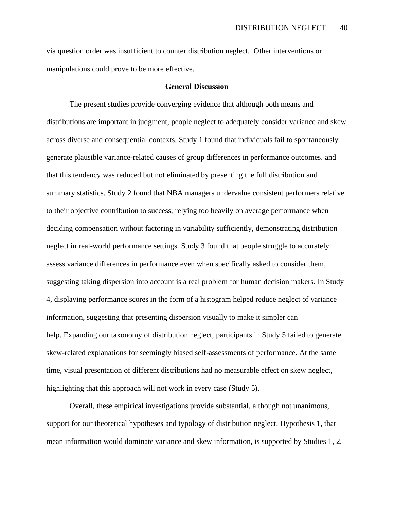via question order was insufficient to counter distribution neglect. Other interventions or manipulations could prove to be more effective.

#### **General Discussion**

The present studies provide converging evidence that although both means and distributions are important in judgment, people neglect to adequately consider variance and skew across diverse and consequential contexts. Study 1 found that individuals fail to spontaneously generate plausible variance-related causes of group differences in performance outcomes, and that this tendency was reduced but not eliminated by presenting the full distribution and summary statistics. Study 2 found that NBA managers undervalue consistent performers relative to their objective contribution to success, relying too heavily on average performance when deciding compensation without factoring in variability sufficiently, demonstrating distribution neglect in real-world performance settings. Study 3 found that people struggle to accurately assess variance differences in performance even when specifically asked to consider them, suggesting taking dispersion into account is a real problem for human decision makers. In Study 4, displaying performance scores in the form of a histogram helped reduce neglect of variance information, suggesting that presenting dispersion visually to make it simpler can help. Expanding our taxonomy of distribution neglect, participants in Study 5 failed to generate skew-related explanations for seemingly biased self-assessments of performance. At the same time, visual presentation of different distributions had no measurable effect on skew neglect, highlighting that this approach will not work in every case (Study 5).

Overall, these empirical investigations provide substantial, although not unanimous, support for our theoretical hypotheses and typology of distribution neglect. Hypothesis 1, that mean information would dominate variance and skew information, is supported by Studies 1, 2,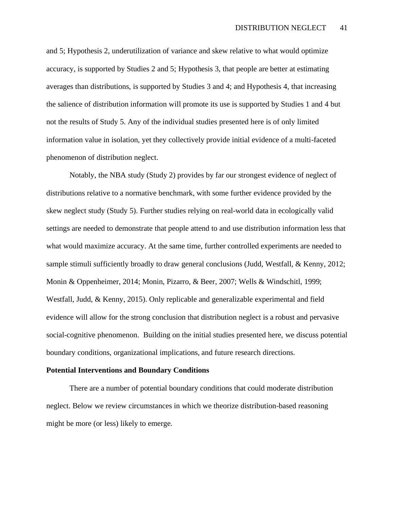and 5; Hypothesis 2, underutilization of variance and skew relative to what would optimize accuracy, is supported by Studies 2 and 5; Hypothesis 3, that people are better at estimating averages than distributions, is supported by Studies 3 and 4; and Hypothesis 4, that increasing the salience of distribution information will promote its use is supported by Studies 1 and 4 but not the results of Study 5. Any of the individual studies presented here is of only limited information value in isolation, yet they collectively provide initial evidence of a multi-faceted phenomenon of distribution neglect.

Notably, the NBA study (Study 2) provides by far our strongest evidence of neglect of distributions relative to a normative benchmark, with some further evidence provided by the skew neglect study (Study 5). Further studies relying on real-world data in ecologically valid settings are needed to demonstrate that people attend to and use distribution information less that what would maximize accuracy. At the same time, further controlled experiments are needed to sample stimuli sufficiently broadly to draw general conclusions (Judd, Westfall, & Kenny, 2012; Monin & Oppenheimer, 2014; Monin, Pizarro, & Beer, 2007; Wells & Windschitl, 1999; Westfall, Judd, & Kenny, 2015). Only replicable and generalizable experimental and field evidence will allow for the strong conclusion that distribution neglect is a robust and pervasive social-cognitive phenomenon. Building on the initial studies presented here, we discuss potential boundary conditions, organizational implications, and future research directions.

#### **Potential Interventions and Boundary Conditions**

There are a number of potential boundary conditions that could moderate distribution neglect. Below we review circumstances in which we theorize distribution-based reasoning might be more (or less) likely to emerge.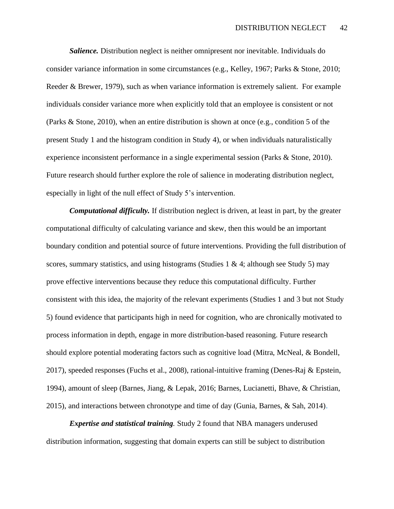*Salience.* Distribution neglect is neither omnipresent nor inevitable. Individuals do consider variance information in some circumstances (e.g., Kelley, 1967; Parks & Stone, 2010; Reeder & Brewer, 1979), such as when variance information is extremely salient. For example individuals consider variance more when explicitly told that an employee is consistent or not (Parks & Stone, 2010), when an entire distribution is shown at once (e.g., condition 5 of the present Study 1 and the histogram condition in Study 4), or when individuals naturalistically experience inconsistent performance in a single experimental session (Parks & Stone, 2010). Future research should further explore the role of salience in moderating distribution neglect, especially in light of the null effect of Study 5's intervention.

*Computational difficulty.* If distribution neglect is driven, at least in part, by the greater computational difficulty of calculating variance and skew, then this would be an important boundary condition and potential source of future interventions. Providing the full distribution of scores, summary statistics, and using histograms (Studies 1 & 4; although see Study 5) may prove effective interventions because they reduce this computational difficulty. Further consistent with this idea, the majority of the relevant experiments (Studies 1 and 3 but not Study 5) found evidence that participants high in need for cognition, who are chronically motivated to process information in depth, engage in more distribution-based reasoning. Future research should explore potential moderating factors such as cognitive load (Mitra, McNeal, & Bondell, 2017), speeded responses (Fuchs et al., 2008), rational-intuitive framing (Denes-Raj & Epstein, 1994), amount of sleep (Barnes, Jiang, & Lepak, 2016; Barnes, Lucianetti, Bhave, & Christian, 2015), and interactions between chronotype and time of day (Gunia, Barnes, & Sah, 2014).

*Expertise and statistical training.* Study 2 found that NBA managers underused distribution information, suggesting that domain experts can still be subject to distribution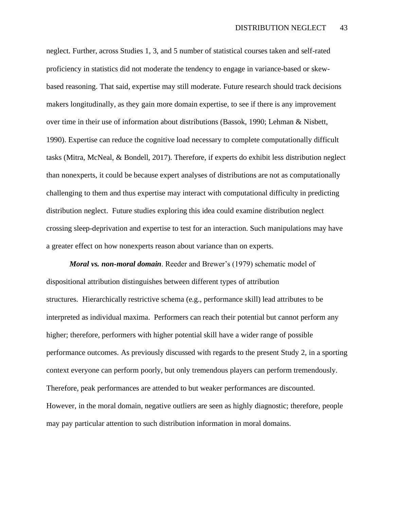neglect. Further, across Studies 1, 3, and 5 number of statistical courses taken and self-rated proficiency in statistics did not moderate the tendency to engage in variance-based or skewbased reasoning. That said, expertise may still moderate. Future research should track decisions makers longitudinally, as they gain more domain expertise, to see if there is any improvement over time in their use of information about distributions (Bassok, 1990; Lehman & Nisbett, 1990). Expertise can reduce the cognitive load necessary to complete computationally difficult tasks (Mitra, McNeal, & Bondell, 2017). Therefore, if experts do exhibit less distribution neglect than nonexperts, it could be because expert analyses of distributions are not as computationally challenging to them and thus expertise may interact with computational difficulty in predicting distribution neglect. Future studies exploring this idea could examine distribution neglect crossing sleep-deprivation and expertise to test for an interaction. Such manipulations may have a greater effect on how nonexperts reason about variance than on experts.

*Moral vs. non-moral domain*. Reeder and Brewer's (1979) schematic model of dispositional attribution distinguishes between different types of attribution structures. Hierarchically restrictive schema (e.g., performance skill) lead attributes to be interpreted as individual maxima. Performers can reach their potential but cannot perform any higher; therefore, performers with higher potential skill have a wider range of possible performance outcomes. As previously discussed with regards to the present Study 2, in a sporting context everyone can perform poorly, but only tremendous players can perform tremendously. Therefore, peak performances are attended to but weaker performances are discounted. However, in the moral domain, negative outliers are seen as highly diagnostic; therefore, people may pay particular attention to such distribution information in moral domains.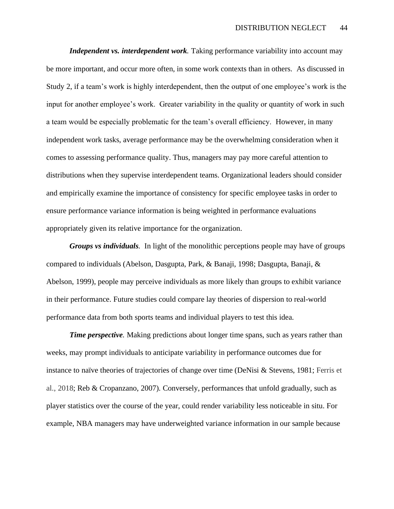*Independent vs. interdependent work.* Taking performance variability into account may be more important, and occur more often, in some work contexts than in others. As discussed in Study 2, if a team's work is highly interdependent, then the output of one employee's work is the input for another employee's work. Greater variability in the quality or quantity of work in such a team would be especially problematic for the team's overall efficiency. However, in many independent work tasks, average performance may be the overwhelming consideration when it comes to assessing performance quality. Thus, managers may pay more careful attention to distributions when they supervise interdependent teams. Organizational leaders should consider and empirically examine the importance of consistency for specific employee tasks in order to ensure performance variance information is being weighted in performance evaluations appropriately given its relative importance for the organization.

*Groups vs individuals.* In light of the monolithic perceptions people may have of groups compared to individuals (Abelson, Dasgupta, Park, & Banaji, 1998; Dasgupta, Banaji, & Abelson, 1999), people may perceive individuals as more likely than groups to exhibit variance in their performance. Future studies could compare lay theories of dispersion to real-world performance data from both sports teams and individual players to test this idea.

*Time perspective.* Making predictions about longer time spans, such as years rather than weeks, may prompt individuals to anticipate variability in performance outcomes due for instance to naïve theories of trajectories of change over time (DeNisi & Stevens, 1981; Ferris et al., 2018; Reb & Cropanzano, 2007). Conversely, performances that unfold gradually, such as player statistics over the course of the year, could render variability less noticeable in situ. For example, NBA managers may have underweighted variance information in our sample because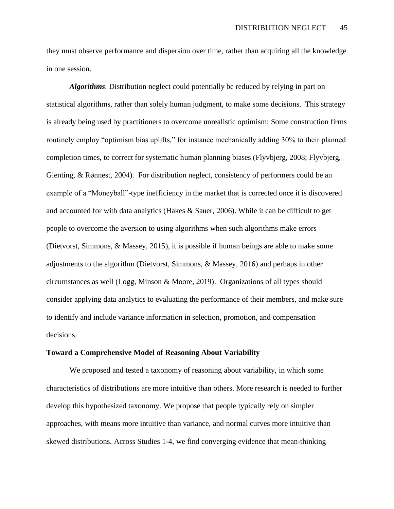they must observe performance and dispersion over time, rather than acquiring all the knowledge in one session.

*Algorithms*. Distribution neglect could potentially be reduced by relying in part on statistical algorithms, rather than solely human judgment, to make some decisions. This strategy is already being used by practitioners to overcome unrealistic optimism: Some construction firms routinely employ "optimism bias uplifts," for instance mechanically adding 30% to their planned completion times, to correct for systematic human planning biases (Flyvbjerg, 2008; Flyvbjerg, Glenting, & Rønnest, 2004). For distribution neglect, consistency of performers could be an example of a "Moneyball"-type inefficiency in the market that is corrected once it is discovered and accounted for with data analytics (Hakes & Sauer, 2006). While it can be difficult to get people to overcome the aversion to using algorithms when such algorithms make errors (Dietvorst, Simmons, & Massey, 2015), it is possible if human beings are able to make some adjustments to the algorithm (Dietvorst, Simmons, & Massey, 2016) and perhaps in other circumstances as well (Logg, Minson & Moore, 2019). Organizations of all types should consider applying data analytics to evaluating the performance of their members, and make sure to identify and include variance information in selection, promotion, and compensation decisions.

### **Toward a Comprehensive Model of Reasoning About Variability**

We proposed and tested a taxonomy of reasoning about variability, in which some characteristics of distributions are more intuitive than others. More research is needed to further develop this hypothesized taxonomy. We propose that people typically rely on simpler approaches, with means more intuitive than variance, and normal curves more intuitive than skewed distributions. Across Studies 1-4, we find converging evidence that mean-thinking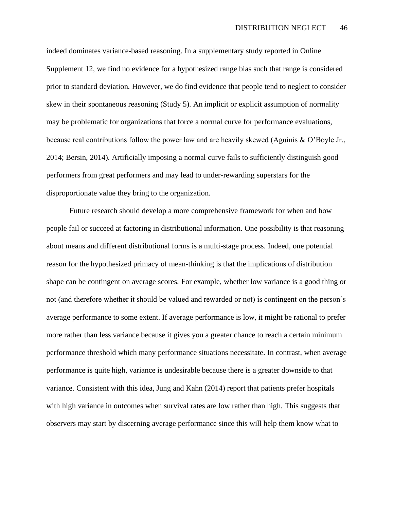indeed dominates variance-based reasoning. In a supplementary study reported in Online Supplement 12, we find no evidence for a hypothesized range bias such that range is considered prior to standard deviation. However, we do find evidence that people tend to neglect to consider skew in their spontaneous reasoning (Study 5). An implicit or explicit assumption of normality may be problematic for organizations that force a normal curve for performance evaluations, because real contributions follow the power law and are heavily skewed (Aguinis & O'Boyle Jr., 2014; Bersin, 2014). Artificially imposing a normal curve fails to sufficiently distinguish good performers from great performers and may lead to under-rewarding superstars for the disproportionate value they bring to the organization.

Future research should develop a more comprehensive framework for when and how people fail or succeed at factoring in distributional information. One possibility is that reasoning about means and different distributional forms is a multi-stage process. Indeed, one potential reason for the hypothesized primacy of mean-thinking is that the implications of distribution shape can be contingent on average scores. For example, whether low variance is a good thing or not (and therefore whether it should be valued and rewarded or not) is contingent on the person's average performance to some extent. If average performance is low, it might be rational to prefer more rather than less variance because it gives you a greater chance to reach a certain minimum performance threshold which many performance situations necessitate. In contrast, when average performance is quite high, variance is undesirable because there is a greater downside to that variance. Consistent with this idea, Jung and Kahn (2014) report that patients prefer hospitals with high variance in outcomes when survival rates are low rather than high. This suggests that observers may start by discerning average performance since this will help them know what to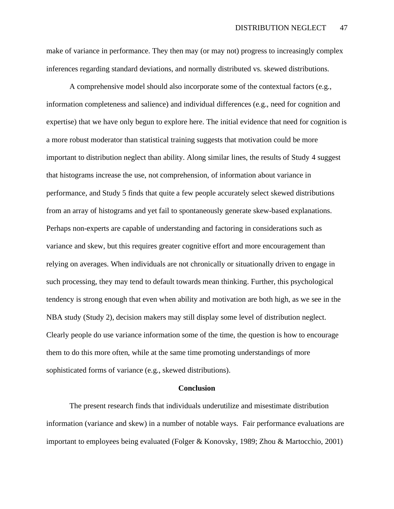make of variance in performance. They then may (or may not) progress to increasingly complex inferences regarding standard deviations, and normally distributed vs. skewed distributions.

A comprehensive model should also incorporate some of the contextual factors (e.g., information completeness and salience) and individual differences (e.g., need for cognition and expertise) that we have only begun to explore here. The initial evidence that need for cognition is a more robust moderator than statistical training suggests that motivation could be more important to distribution neglect than ability. Along similar lines, the results of Study 4 suggest that histograms increase the use, not comprehension, of information about variance in performance, and Study 5 finds that quite a few people accurately select skewed distributions from an array of histograms and yet fail to spontaneously generate skew-based explanations. Perhaps non-experts are capable of understanding and factoring in considerations such as variance and skew, but this requires greater cognitive effort and more encouragement than relying on averages. When individuals are not chronically or situationally driven to engage in such processing, they may tend to default towards mean thinking. Further, this psychological tendency is strong enough that even when ability and motivation are both high, as we see in the NBA study (Study 2), decision makers may still display some level of distribution neglect. Clearly people do use variance information some of the time, the question is how to encourage them to do this more often, while at the same time promoting understandings of more sophisticated forms of variance (e.g., skewed distributions).

#### **Conclusion**

The present research finds that individuals underutilize and misestimate distribution information (variance and skew) in a number of notable ways. Fair performance evaluations are important to employees being evaluated (Folger & Konovsky, 1989; Zhou & Martocchio, 2001)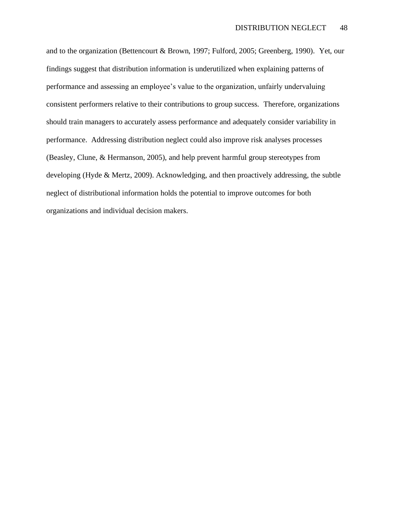and to the organization (Bettencourt & Brown, 1997; Fulford, 2005; Greenberg, 1990). Yet, our findings suggest that distribution information is underutilized when explaining patterns of performance and assessing an employee's value to the organization, unfairly undervaluing consistent performers relative to their contributions to group success. Therefore, organizations should train managers to accurately assess performance and adequately consider variability in performance. Addressing distribution neglect could also improve risk analyses processes (Beasley, Clune, & Hermanson, 2005), and help prevent harmful group stereotypes from developing (Hyde & Mertz, 2009). Acknowledging, and then proactively addressing, the subtle neglect of distributional information holds the potential to improve outcomes for both organizations and individual decision makers.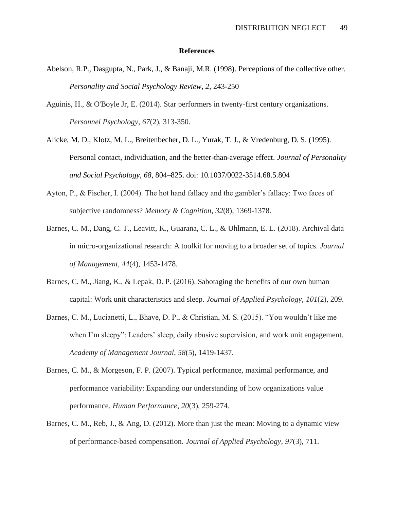#### **References**

- Abelson, R.P., Dasgupta, N., Park, J., & Banaji, M.R. (1998). Perceptions of the collective other. *Personality and Social Psychology Review, 2,* 243-250
- Aguinis, H., & O'Boyle Jr, E. (2014). Star performers in twenty‐first century organizations. *Personnel Psychology*, *67*(2), 313-350.
- Alicke, M. D., Klotz, M. L., Breitenbecher, D. L., Yurak, T. J., & Vredenburg, D. S. (1995). Personal contact, individuation, and the better-than-average effect. *Journal of Personality and Social Psychology, 68*, 804–825. doi: 10.1037/0022-3514.68.5.804
- Ayton, P., & Fischer, I. (2004). The hot hand fallacy and the gambler's fallacy: Two faces of subjective randomness? *Memory & Cognition*, *32*(8), 1369-1378.
- Barnes, C. M., Dang, C. T., Leavitt, K., Guarana, C. L., & Uhlmann, E. L. (2018). Archival data in micro-organizational research: A toolkit for moving to a broader set of topics. *Journal of Management*, *44*(4), 1453-1478.
- Barnes, C. M., Jiang, K., & Lepak, D. P. (2016). Sabotaging the benefits of our own human capital: Work unit characteristics and sleep. *Journal of Applied Psychology*, *101*(2), 209.
- Barnes, C. M., Lucianetti, L., Bhave, D. P., & Christian, M. S. (2015). "You wouldn't like me when I'm sleepy": Leaders' sleep, daily abusive supervision, and work unit engagement. *Academy of Management Journal*, *58*(5), 1419-1437.
- Barnes, C. M., & Morgeson, F. P. (2007). Typical performance, maximal performance, and performance variability: Expanding our understanding of how organizations value performance. *Human Performance*, *20*(3), 259-274.
- Barnes, C. M., Reb, J., & Ang, D. (2012). More than just the mean: Moving to a dynamic view of performance-based compensation. *Journal of Applied Psychology*, *97*(3), 711.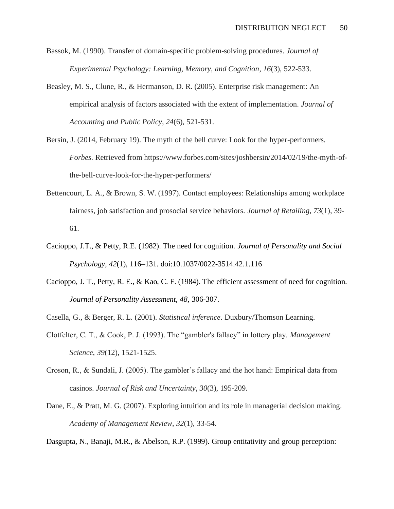- Bassok, M. (1990). Transfer of domain-specific problem-solving procedures. *Journal of Experimental Psychology: Learning, Memory, and Cognition*, *16*(3), 522-533.
- Beasley, M. S., Clune, R., & Hermanson, D. R. (2005). Enterprise risk management: An empirical analysis of factors associated with the extent of implementation. *Journal of Accounting and Public Policy*, *24*(6), 521-531.
- Bersin, J. (2014, February 19). The myth of the bell curve: Look for the hyper-performers. *Forbes*. Retrieved from https://www.forbes.com/sites/joshbersin/2014/02/19/the-myth-ofthe-bell-curve-look-for-the-hyper-performers/
- Bettencourt, L. A., & Brown, S. W. (1997). Contact employees: Relationships among workplace fairness, job satisfaction and prosocial service behaviors. *Journal of Retailing*, *73*(1), 39- 61.
- Cacioppo, J.T., & Petty, R.E. (1982). The need for cognition. *Journal of Personality and Social Psychology, 42*(1), 116–131. doi:10.1037/0022-3514.42.1.116
- Cacioppo, J. T., Petty, R. E., & Kao, C. F. (1984). The efficient assessment of need for cognition. *Journal of Personality Assessment, 48,* 306-307.
- Casella, G., & Berger, R. L. (2001). *Statistical inference*. Duxbury/Thomson Learning.
- Clotfelter, C. T., & Cook, P. J. (1993). The "gambler's fallacy" in lottery play. *Management Science*, *39*(12), 1521-1525.
- Croson, R., & Sundali, J. (2005). The gambler's fallacy and the hot hand: Empirical data from casinos. *Journal of Risk and Uncertainty*, *30*(3), 195-209.
- Dane, E., & Pratt, M. G. (2007). Exploring intuition and its role in managerial decision making. *Academy of Management Review*, *32*(1), 33-54.

Dasgupta, N., Banaji, M.R., & Abelson, R.P. (1999). Group entitativity and group perception: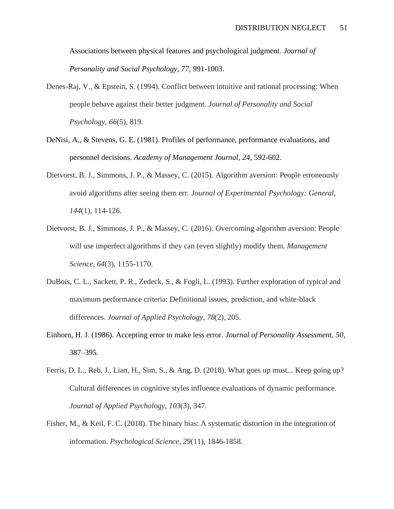Associations between physical features and psychological judgment. *Journal of Personality and Social Psychology, 77,* 991-1003.

- Denes-Raj, V., & Epstein, S. (1994). Conflict between intuitive and rational processing: When people behave against their better judgment. *Journal of Personality and Social Psychology*, *66*(5), 819.
- DeNisi, A., & Stevens, G. E. (1981). Profiles of performance, performance evaluations, and personnel decisions. *Academy of Management Journal, 24*, 592-602.
- Dietvorst, B. J., Simmons, J. P., & Massey, C. (2015). Algorithm aversion: People erroneously avoid algorithms after seeing them err. *Journal of Experimental Psychology: General*, *144*(1), 114-126.
- Dietvorst, B. J., Simmons, J. P., & Massey, C. (2016). Overcoming algorithm aversion: People will use imperfect algorithms if they can (even slightly) modify them. *Management Science*, *64*(3), 1155-1170.
- DuBois, C. L., Sackett, P. R., Zedeck, S., & Fogli, L. (1993). Further exploration of typical and maximum performance criteria: Definitional issues, prediction, and white-black differences. *Journal of Applied Psychology*, *78*(2), 205.
- Einhorn, H. J. (1986). Accepting error to make less error*. Journal of Personality Assessment, 50*, 387–395.
- Ferris, D. L., Reb, J., Lian, H., Sim, S., & Ang, D. (2018). What goes up must... Keep going up? Cultural differences in cognitive styles influence evaluations of dynamic performance. *Journal of Applied Psychology*, *103*(3), 347.
- Fisher, M., & Keil, F. C. (2018). The binary bias: A systematic distortion in the integration of information. *Psychological Science*, *29*(11), 1846-1858.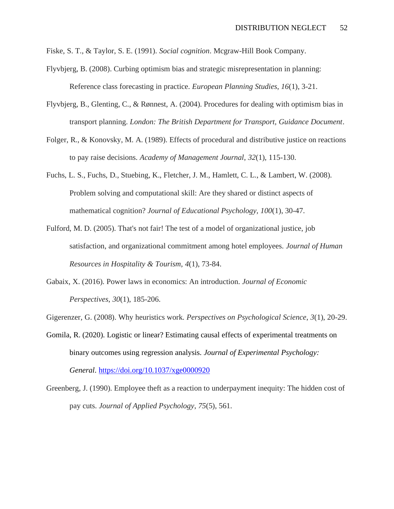- Fiske, S. T., & Taylor, S. E. (1991). *Social cognition*. Mcgraw-Hill Book Company.
- Flyvbjerg, B. (2008). Curbing optimism bias and strategic misrepresentation in planning: Reference class forecasting in practice. *European Planning Studies*, *16*(1), 3-21.
- Flyvbjerg, B., Glenting, C., & Rønnest, A. (2004). Procedures for dealing with optimism bias in transport planning. *London: The British Department for Transport, Guidance Document*.
- Folger, R., & Konovsky, M. A. (1989). Effects of procedural and distributive justice on reactions to pay raise decisions. *Academy of Management Journal*, *32*(1), 115-130.
- Fuchs, L. S., Fuchs, D., Stuebing, K., Fletcher, J. M., Hamlett, C. L., & Lambert, W. (2008). Problem solving and computational skill: Are they shared or distinct aspects of mathematical cognition? *Journal of Educational Psychology, 100*(1), 30-47.
- Fulford, M. D. (2005). That's not fair! The test of a model of organizational justice, job satisfaction, and organizational commitment among hotel employees. *Journal of Human Resources in Hospitality & Tourism*, *4*(1), 73-84.
- Gabaix, X. (2016). Power laws in economics: An introduction. *Journal of Economic Perspectives*, *30*(1), 185-206.

Gigerenzer, G. (2008). Why heuristics work. *Perspectives on Psychological Science*, *3*(1), 20-29.

- Gomila, R. (2020). Logistic or linear? Estimating causal effects of experimental treatments on binary outcomes using regression analysis. *Journal of Experimental Psychology: General*.<https://doi.org/10.1037/xge0000920>
- Greenberg, J. (1990). Employee theft as a reaction to underpayment inequity: The hidden cost of pay cuts. *Journal of Applied Psychology*, *75*(5), 561.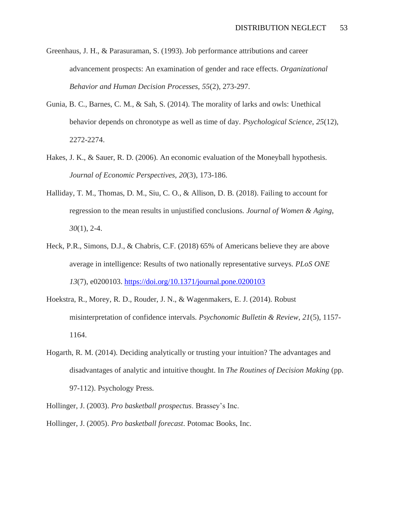- Greenhaus, J. H., & Parasuraman, S. (1993). Job performance attributions and career advancement prospects: An examination of gender and race effects. *Organizational Behavior and Human Decision Processes*, *55*(2), 273-297.
- Gunia, B. C., Barnes, C. M., & Sah, S. (2014). The morality of larks and owls: Unethical behavior depends on chronotype as well as time of day. *Psychological Science*, *25*(12), 2272-2274.
- Hakes, J. K., & Sauer, R. D. (2006). An economic evaluation of the Moneyball hypothesis. *Journal of Economic Perspectives*, *20*(3), 173-186.
- Halliday, T. M., Thomas, D. M., Siu, C. O., & Allison, D. B. (2018). Failing to account for regression to the mean results in unjustified conclusions. *Journal of Women & Aging*, *30*(1), 2-4.
- Heck, P.R., Simons, D.J., & Chabris, C.F. (2018) 65% of Americans believe they are above average in intelligence: Results of two nationally representative surveys. *PLoS ONE 13*(7), e0200103.<https://doi.org/10.1371/journal.pone.0200103>
- Hoekstra, R., Morey, R. D., Rouder, J. N., & Wagenmakers, E. J. (2014). Robust misinterpretation of confidence intervals. *Psychonomic Bulletin & Review*, *21*(5), 1157- 1164.
- Hogarth, R. M. (2014). Deciding analytically or trusting your intuition? The advantages and disadvantages of analytic and intuitive thought. In *The Routines of Decision Making* (pp. 97-112). Psychology Press.
- Hollinger, J. (2003). *Pro basketball prospectus*. Brassey's Inc.
- Hollinger, J. (2005). *Pro basketball forecast*. Potomac Books, Inc.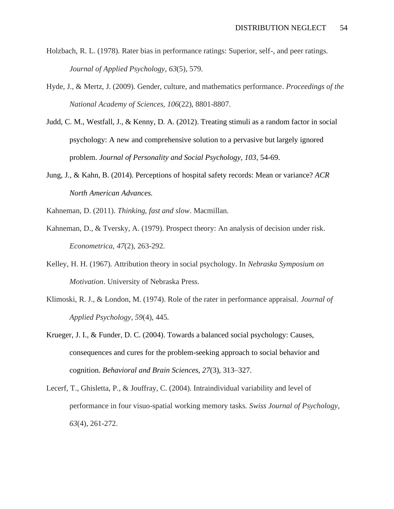- Holzbach, R. L. (1978). Rater bias in performance ratings: Superior, self-, and peer ratings. *Journal of Applied Psychology*, *63*(5), 579.
- Hyde, J., & Mertz, J. (2009). Gender, culture, and mathematics performance. *Proceedings of the National Academy of Sciences, 106*(22), 8801-8807.
- Judd, C. M., Westfall, J., & Kenny, D. A. (2012). Treating stimuli as a random factor in social psychology: A new and comprehensive solution to a pervasive but largely ignored problem. *Journal of Personality and Social Psychology, 103*, 54-69.
- Jung, J., & Kahn, B. (2014). Perceptions of hospital safety records: Mean or variance? *ACR North American Advances.*
- Kahneman, D. (2011). *Thinking, fast and slow*. Macmillan.
- Kahneman, D., & Tversky, A. (1979). Prospect theory: An analysis of decision under risk. *Econometrica*, *47*(2), 263-292.
- Kelley, H. H. (1967). Attribution theory in social psychology. In *Nebraska Symposium on Motivation*. University of Nebraska Press.
- Klimoski, R. J., & London, M. (1974). Role of the rater in performance appraisal. *Journal of Applied Psychology*, *59*(4), 445.
- Krueger, J. I., & Funder, D. C. (2004). Towards a balanced social psychology: Causes, consequences and cures for the problem-seeking approach to social behavior and cognition. *Behavioral and Brain Sciences, 27*(3), 313–327.
- Lecerf, T., Ghisletta, P., & Jouffray, C. (2004). Intraindividual variability and level of performance in four visuo-spatial working memory tasks. *Swiss Journal of Psychology*, *63*(4), 261-272.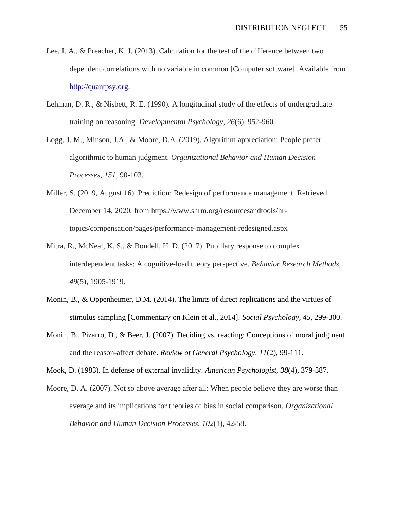- Lee, I. A., & Preacher, K. J. (2013). Calculation for the test of the difference between two dependent correlations with no variable in common [Computer software]. Available from [http://quantpsy.org.](http://quantpsy.org/)
- Lehman, D. R., & Nisbett, R. E. (1990). A longitudinal study of the effects of undergraduate training on reasoning. *Developmental Psychology*, *26*(6), 952-960.
- Logg, J. M., Minson, J.A., & Moore, D.A. (2019). Algorithm appreciation: People prefer algorithmic to human judgment. *Organizational Behavior and Human Decision Processes*, *151*, 90-103.
- Miller, S. (2019, August 16). Prediction: Redesign of performance management. Retrieved December 14, 2020, from https://www.shrm.org/resourcesandtools/hrtopics/compensation/pages/performance-management-redesigned.aspx
- Mitra, R., McNeal, K. S., & Bondell, H. D. (2017). Pupillary response to complex interdependent tasks: A cognitive-load theory perspective. *Behavior Research Methods*, *49*(5), 1905-1919.
- Monin, B., & Oppenheimer, D.M. (2014). The limits of direct replications and the virtues of stimulus sampling [Commentary on Klein et al., 2014]. *Social Psychology, 45*, 299-300.
- Monin, B., Pizarro, D., & Beer, J. (2007). Deciding vs. reacting: Conceptions of moral judgment and the reason-affect debate. *Review of General Psychology, 11*(2), 99-111.

Mook, D. (1983). In defense of external invalidity. *American Psychologist, 38*(4), 379-387.

Moore, D. A. (2007). Not so above average after all: When people believe they are worse than average and its implications for theories of bias in social comparison. *Organizational Behavior and Human Decision Processes*, *102*(1), 42-58.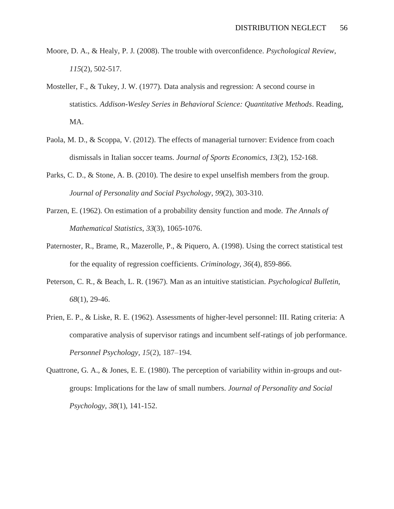- Moore, D. A., & Healy, P. J. (2008). The trouble with overconfidence. *Psychological Review*, *115*(2), 502-517.
- Mosteller, F., & Tukey, J. W. (1977). Data analysis and regression: A second course in statistics. *Addison-Wesley Series in Behavioral Science: Quantitative Methods*. Reading, MA.
- Paola, M. D., & Scoppa, V. (2012). The effects of managerial turnover: Evidence from coach dismissals in Italian soccer teams. *Journal of Sports Economics*, *13*(2), 152-168.
- Parks, C. D., & Stone, A. B. (2010). The desire to expel unselfish members from the group. *Journal of Personality and Social Psychology*, *99*(2), 303-310.
- Parzen, E. (1962). On estimation of a probability density function and mode. *The Annals of Mathematical Statistics*, *33*(3), 1065-1076.
- Paternoster, R., Brame, R., Mazerolle, P., & Piquero, A. (1998). Using the correct statistical test for the equality of regression coefficients. *Criminology, 36*(4), 859-866.
- Peterson, C. R., & Beach, L. R. (1967). Man as an intuitive statistician. *Psychological Bulletin*, *68*(1), 29-46.
- Prien, E. P., & Liske, R. E. (1962). Assessments of higher-level personnel: III. Rating criteria: A comparative analysis of supervisor ratings and incumbent self-ratings of job performance. *Personnel Psychology, 15*(2), 187–194.
- Quattrone, G. A., & Jones, E. E. (1980). The perception of variability within in-groups and outgroups: Implications for the law of small numbers. *Journal of Personality and Social Psychology*, *38*(1), 141-152.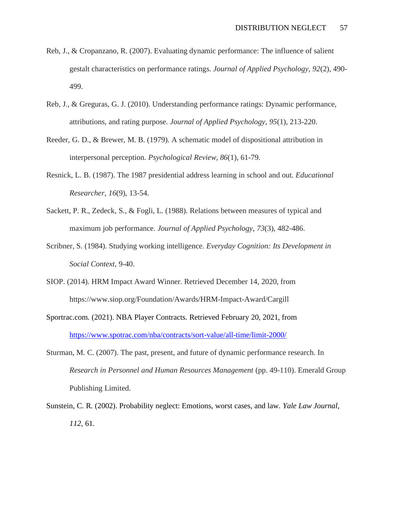- Reb, J., & Cropanzano, R. (2007). Evaluating dynamic performance: The influence of salient gestalt characteristics on performance ratings. *Journal of Applied Psychology, 92*(2), 490- 499.
- Reb, J., & Greguras, G. J. (2010). Understanding performance ratings: Dynamic performance, attributions, and rating purpose. *Journal of Applied Psychology, 95*(1), 213-220.
- Reeder, G. D., & Brewer, M. B. (1979). A schematic model of dispositional attribution in interpersonal perception. *Psychological Review*, *86*(1), 61-79.
- Resnick, L. B. (1987). The 1987 presidential address learning in school and out. *Educational Researcher*, *16*(9), 13-54.
- Sackett, P. R., Zedeck, S., & Fogli, L. (1988). Relations between measures of typical and maximum job performance. *Journal of Applied Psychology*, *73*(3), 482-486.
- Scribner, S. (1984). Studying working intelligence. *Everyday Cognition: Its Development in Social Context*, 9-40.
- SIOP. (2014). HRM Impact Award Winner. Retrieved December 14, 2020, from https://www.siop.org/Foundation/Awards/HRM-Impact-Award/Cargill
- Sportrac.com. (2021). NBA Player Contracts. Retrieved February 20, 2021, from <https://www.spotrac.com/nba/contracts/sort-value/all-time/limit-2000/>
- Sturman, M. C. (2007). The past, present, and future of dynamic performance research. In *Research in Personnel and Human Resources Management* (pp. 49-110). Emerald Group Publishing Limited.
- Sunstein, C. R. (2002). Probability neglect: Emotions, worst cases, and law. *Yale Law Journal*, *112*, 61.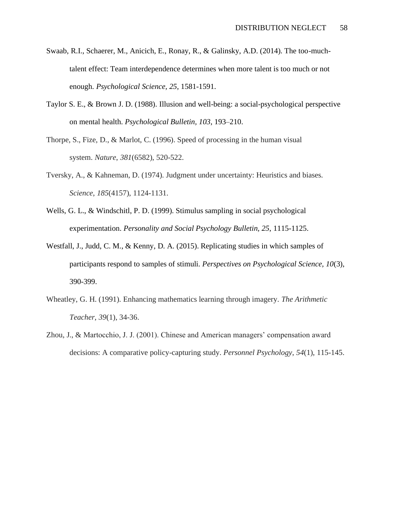- Swaab, R.I., Schaerer, M., Anicich, E., Ronay, R., & Galinsky, A.D. (2014). The too-muchtalent effect: Team interdependence determines when more talent is too much or not enough. *Psychological Science, 25*, 1581-1591.
- Taylor S. E., & Brown J. D. (1988). Illusion and well-being: a social-psychological perspective on mental health. *Psychological Bulletin, 103*, 193–210.
- Thorpe, S., Fize, D., & Marlot, C. (1996). Speed of processing in the human visual system. *Nature*, *381*(6582), 520-522.
- Tversky, A., & Kahneman, D. (1974). Judgment under uncertainty: Heuristics and biases. *Science*, *185*(4157), 1124-1131.
- Wells, G. L., & Windschitl, P. D. (1999). Stimulus sampling in social psychological experimentation. *Personality and Social Psychology Bulletin, 25*, 1115-1125.
- Westfall, J., Judd, C. M., & Kenny, D. A. (2015). Replicating studies in which samples of participants respond to samples of stimuli. *Perspectives on Psychological Science, 10*(3), 390-399.
- Wheatley, G. H. (1991). Enhancing mathematics learning through imagery. *The Arithmetic Teacher*, *39*(1), 34-36.
- Zhou, J., & Martocchio, J. J. (2001). Chinese and American managers' compensation award decisions: A comparative policy-capturing study. *Personnel Psychology*, *54*(1), 115-145.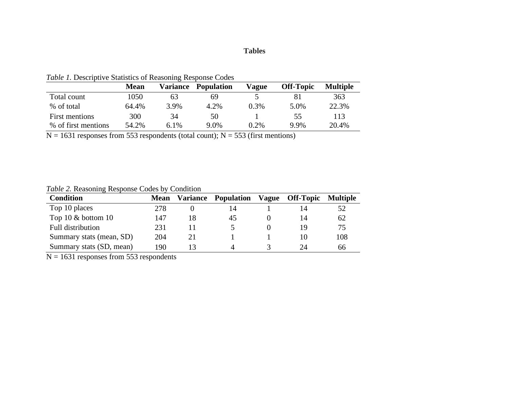## **Tables**

|                     | <b>Mean</b> | Variance | <b>Population</b> | Vague | <b>Off-Topic</b> | <b>Multiple</b> |
|---------------------|-------------|----------|-------------------|-------|------------------|-----------------|
| Total count         | 1050        | 63       | 69                |       |                  | 363             |
| % of total          | 64.4%       | 3.9%     | 4.2%              | 0.3%  | 5.0%             | 22.3%           |
| First mentions      | 300         | 34       | 50                |       | 55               | 113             |
| % of first mentions | 54.2%       | 6.1%     | 9.0%              | 0.2%  | 9.9%             | 20.4%           |

*Table 1.* Descriptive Statistics of Reasoning Response Codes

 $N = 1631$  responses from 553 respondents (total count);  $N = 553$  (first mentions)

## *Table 2.* Reasoning Response Codes by Condition

| <b>Condition</b>         | <b>Mean</b> | Variance | <b>Population</b> | Vague Off-Topic | <b>Multiple</b> |
|--------------------------|-------------|----------|-------------------|-----------------|-----------------|
| Top 10 places            | 278         |          | 14                | 14              | 52              |
| Top 10 $&$ bottom 10     | 147         | 18       | 45                | 14              | 62              |
| <b>Full distribution</b> | 231         |          |                   | 19              | 75              |
| Summary stats (mean, SD) | 204         | 21       |                   |                 | 108             |
| Summary stats (SD, mean) | 190         |          |                   | 24              | 66              |

 $N = 1631$  responses from 553 respondents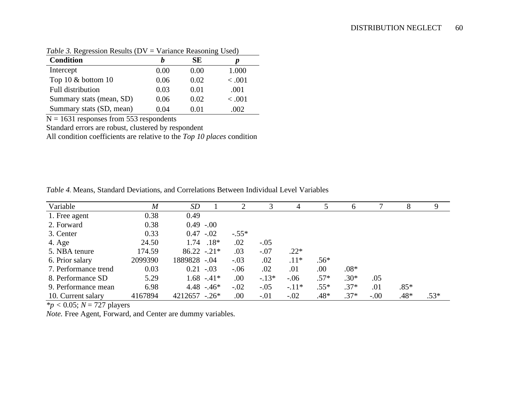| $1.0010 \times 1.0011 \times 1.000110 \times 10^{-1}$ |      | $\ldots$ contained receive in $\mathbb{R}$ expects. |         |
|-------------------------------------------------------|------|-----------------------------------------------------|---------|
| <b>Condition</b>                                      |      | SE                                                  |         |
| Intercept                                             | 0.00 | 0.00                                                | 1.000   |
| Top 10 $&$ bottom 10                                  | 0.06 | 0.02                                                | < 0.001 |
| Full distribution                                     | 0.03 | 0.01                                                | .001    |
| Summary stats (mean, SD)                              | 0.06 | 0.02                                                | < 0.001 |
| Summary stats (SD, mean)                              | 0.04 | 0.01                                                | .002    |

*Table 3.* Regression Results (DV = Variance Reasoning Used)

 $N = 1631$  responses from 553 respondents

Standard errors are robust, clustered by respondent

All condition coefficients are relative to the *Top 10 places* condition

*Table 4.* Means, Standard Deviations, and Correlations Between Individual Level Variables

| Variable             | $\boldsymbol{M}$ | <i>SD</i>         | 2       |         | 4       |        | <sub>6</sub> |        | 8      | 9      |
|----------------------|------------------|-------------------|---------|---------|---------|--------|--------------|--------|--------|--------|
| 1. Free agent        | 0.38             | 0.49              |         |         |         |        |              |        |        |        |
| 2. Forward           | 0.38             | $0.49 - 0.00$     |         |         |         |        |              |        |        |        |
| 3. Center            | 0.33             | $0.47 - 0.02$     | $-.55*$ |         |         |        |              |        |        |        |
| 4. Age               | 24.50            | $.18*$<br>1.74    | .02     | $-.05$  |         |        |              |        |        |        |
| 5. NBA tenure        | 174.59           | $86.22 - 0.21*$   | .03     | $-.07$  | $.22*$  |        |              |        |        |        |
| 6. Prior salary      | 2099390          | 1889828 -.04      | $-.03$  | .02     | $.11*$  | $.56*$ |              |        |        |        |
| 7. Performance trend | 0.03             | $0.21 - 0.03$     | $-.06$  | .02     | .01     | .00    | $.08*$       |        |        |        |
| 8. Performance SD    | 5.29             | $1.68 - 41*$      | .00.    | $-.13*$ | $-.06$  | $.57*$ | $.30*$       | .05    |        |        |
| 9. Performance mean  | 6.98             | $4.48 - 46*$      | $-.02$  | $-.05$  | $-.11*$ | $.55*$ | $.37*$       | .01    | $.85*$ |        |
| 10. Current salary   | 4167894          | $4212657 - 0.26*$ | .00.    | $-.01$  | $-.02$  | $.48*$ | $.37*$       | $-.00$ | $.48*$ | $.53*$ |

 $\frac{k_p}{s}$  < 0.05; *N* = 727 players

*Note.* Free Agent, Forward, and Center are dummy variables.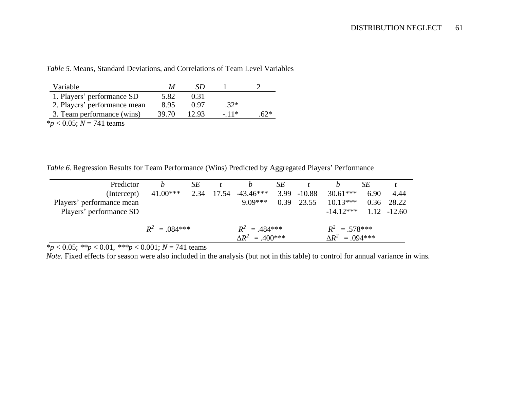| Variable                                                                                                                                                                                                                                                                                                        | М     | SÐ    |        |     |
|-----------------------------------------------------------------------------------------------------------------------------------------------------------------------------------------------------------------------------------------------------------------------------------------------------------------|-------|-------|--------|-----|
| 1. Players' performance SD                                                                                                                                                                                                                                                                                      | 5.82  | 0.31  |        |     |
| 2. Players' performance mean                                                                                                                                                                                                                                                                                    | 8.95  | በ 97  | $.32*$ |     |
| 3. Team performance (wins)                                                                                                                                                                                                                                                                                      | 39.70 | 12.93 | $-11*$ | 62* |
| $\sim$ $\sqrt{2}$ $\sqrt{2}$ $\sqrt{2}$ $\sqrt{2}$ $\sqrt{2}$ $\sqrt{2}$ $\sqrt{2}$ $\sqrt{2}$ $\sqrt{2}$ $\sqrt{2}$ $\sqrt{2}$ $\sqrt{2}$ $\sqrt{2}$ $\sqrt{2}$ $\sqrt{2}$ $\sqrt{2}$ $\sqrt{2}$ $\sqrt{2}$ $\sqrt{2}$ $\sqrt{2}$ $\sqrt{2}$ $\sqrt{2}$ $\sqrt{2}$ $\sqrt{2}$ $\sqrt{2}$ $\sqrt{2}$ $\sqrt{2}$ |       |       |        |     |

*Table 5.* Means, Standard Deviations, and Correlations of Team Level Variables

*\*p* < 0.05; *N* = 741 teams

*Table 6*. Regression Results for Team Performance (Wins) Predicted by Aggregated Players' Performance

| Predictor                 |                  | SE |                           | SЕ   |                |                        | SЕ   |                |
|---------------------------|------------------|----|---------------------------|------|----------------|------------------------|------|----------------|
| (Intercept)               | $41.00***$       |    | $2.34$ 17.54 $-43.46***$  |      | $3.99 - 10.88$ | $30.61***$             | 6.90 | -4.44          |
| Players' performance mean |                  |    | $9.09***$                 | 0.39 | 23.55          | $10.13***$             | 0.36 | 28.22          |
| Players' performance SD   |                  |    |                           |      |                | $-14.12***$            |      | $1.12 - 12.60$ |
|                           |                  |    |                           |      |                |                        |      |                |
|                           | $R^2 = 0.084***$ |    | $R^2 = .484***$           |      |                | $R^2 = .578***$        |      |                |
|                           |                  |    | $\Delta R^2 = .400^{***}$ |      |                | $\Delta R^2 = .094***$ |      |                |

*\*p* < 0.05; *\*\*p* < 0.01, *\*\*\*p* < 0.001; *N* = 741 teams

*Note.* Fixed effects for season were also included in the analysis (but not in this table) to control for annual variance in wins.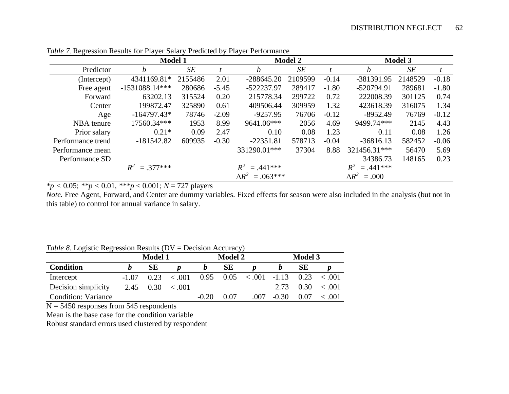|                   | <b>Model 1</b>   |         |         |                        | <b>Model 2</b> |         |                     | <b>Model 3</b> |         |
|-------------------|------------------|---------|---------|------------------------|----------------|---------|---------------------|----------------|---------|
| Predictor         | h                | SE      |         | h                      | SE             |         | h                   | SE             |         |
| (Intercept)       | 4341169.81*      | 2155486 | 2.01    | $-288645.20$           | 2109599        | $-0.14$ | -381391.95          | 2148529        | $-0.18$ |
| Free agent        | $-1531088.14***$ | 280686  | $-5.45$ | -522237.97             | 289417         | $-1.80$ | -520794.91          | 289681         | $-1.80$ |
| Forward           | 63202.13         | 315524  | 0.20    | 215778.34              | 299722         | 0.72    | 222008.39           | 301125         | 0.74    |
| Center            | 199872.47        | 325890  | 0.61    | 409506.44              | 309959         | 1.32    | 423618.39           | 316075         | 1.34    |
| Age               | $-164797.43*$    | 78746   | $-2.09$ | $-9257.95$             | 76706          | $-0.12$ | $-8952.49$          | 76769          | $-0.12$ |
| NBA tenure        | 17560.34***      | 1953    | 8.99    | 9641.06***             | 2056           | 4.69    | 9499.74***          | 2145           | 4.43    |
| Prior salary      | $0.21*$          | 0.09    | 2.47    | 0.10                   | 0.08           | 1.23    | 0.11                | 0.08           | 1.26    |
| Performance trend | $-181542.82$     | 609935  | $-0.30$ | $-22351.81$            | 578713         | $-0.04$ | $-36816.13$         | 582452         | $-0.06$ |
| Performance mean  |                  |         |         | 331290.01***           | 37304          | 8.88    | 321456.31***        | 56470          | 5.69    |
| Performance SD    |                  |         |         |                        |                |         | 34386.73            | 148165         | 0.23    |
|                   | $R^2 = 0.377***$ |         |         | $R^2 = .441***$        |                |         | $R^2 = .441***$     |                |         |
|                   |                  |         |         | $\Delta R^2 = .063***$ |                |         | $\Delta R^2 = .000$ |                |         |

*Table 7.* Regression Results for Player Salary Predicted by Player Performance

*\*p <* 0.05; *\*\*p <* 0.01, *\*\*\*p* < 0.001; *N* = 727 players

*Note.* Free Agent, Forward, and Center are dummy variables. Fixed effects for season were also included in the analysis (but not in this table) to control for annual variance in salary.

|                            | <b>Model 1</b> |    |                                |         | <b>Model 2</b> |                                                                    |         | <b>Model 3</b> |                                |  |
|----------------------------|----------------|----|--------------------------------|---------|----------------|--------------------------------------------------------------------|---------|----------------|--------------------------------|--|
| <b>Condition</b>           |                | SЕ |                                |         | SЕ             |                                                                    |         | <b>SE</b>      |                                |  |
| Intercept                  |                |    | $-1.07$ $0.23$ < 0.01          |         |                | $0.95 \quad 0.05 \quad < .001 \quad -1.13 \quad 0.23 \quad < .001$ |         |                |                                |  |
| Decision simplicity        |                |    | $2.45 \quad 0.30 \quad < .001$ |         |                |                                                                    |         |                | $2.73 \quad 0.30 \quad < .001$ |  |
| <b>Condition: Variance</b> |                |    |                                | $-0.20$ | 0.07           | .007                                                               | $-0.30$ | 0.07           | < .001                         |  |

*Table 8*. Logistic Regression Results (DV = Decision Accuracy)

 $N = 5450$  responses from 545 respondents

Mean is the base case for the condition variable

Robust standard errors used clustered by respondent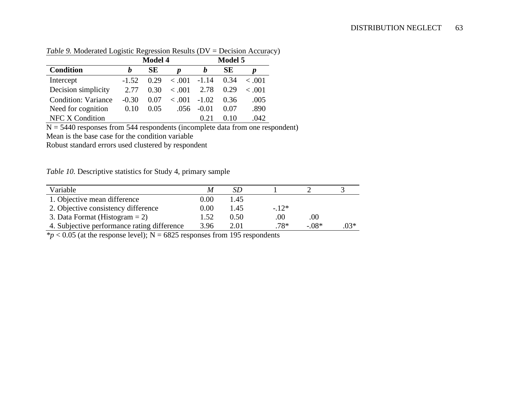|                            |         | <b>Model 4</b> |         | <b>Model 5</b> |      |        |  |
|----------------------------|---------|----------------|---------|----------------|------|--------|--|
| <b>Condition</b>           | h       | SЕ             | Ŋ       |                | SЕ   |        |  |
| Intercept                  | $-1.52$ | 0.29           | < 0.001 | $-1.14$        | 0.34 | ~<~001 |  |
| Decision simplicity        | 2.77    | 0.30           | < 0.001 | 2.78           | 0.29 | < .001 |  |
| <b>Condition: Variance</b> | $-0.30$ | 0.07           | < 0.001 | $-1.02$        | 0.36 | .005   |  |
| Need for cognition         | 0.10    | 0.05           | .056    | $-0.01$        | 0.07 | .890   |  |
| <b>NFC X Condition</b>     |         |                |         | 0.21           |      | .042   |  |

*Table 9.* Moderated Logistic Regression Results (DV = Decision Accuracy)

N = 5440 responses from 544 respondents (incomplete data from one respondent)

Mean is the base case for the condition variable

Robust standard errors used clustered by respondent

*Table 10.* Descriptive statistics for Study 4, primary sample

| Variable                                    | M        | SD   |        |          |        |
|---------------------------------------------|----------|------|--------|----------|--------|
| 1. Objective mean difference                | $0.00\,$ | 1.45 |        |          |        |
| 2. Objective consistency difference         | 0.00     | 1.45 | $-12*$ |          |        |
| 3. Data Format (Histogram $= 2$ )           | 1.52     | 0.50 | .00    | .00      |        |
| 4. Subjective performance rating difference | 3.96     | 2.01 | .78*   | $-0.08*$ | $.03*$ |

 $*p$  < 0.05 (at the response level); N = 6825 responses from 195 respondents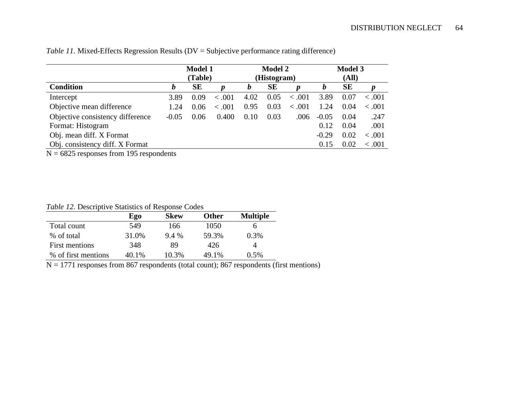|                                  | <b>Model 1</b> |           |               |      | <b>Model 2</b> |                  | <b>Model 3</b> |           |         |
|----------------------------------|----------------|-----------|---------------|------|----------------|------------------|----------------|-----------|---------|
|                                  |                | (Table)   |               |      | (Histogram)    |                  | (All)          |           |         |
| <b>Condition</b>                 | b              | <b>SE</b> | p             | b    | <b>SE</b>      | $\boldsymbol{p}$ | b              | <b>SE</b> | p       |
| Intercept                        | 3.89           | 0.09      | $-.001$       | 4.02 | 0.05           | < .001           | 3.89           | 0.07      | < .001  |
| Objective mean difference        | 1.24           | 0.06      | .001<br>$\lt$ | 0.95 | 0.03           | < .001           | 1.24           | 0.04      | < 0.001 |
| Objective consistency difference | $-0.05$        | 0.06      | 0.400         | 0.10 | 0.03           | .006             | $-0.05$        | 0.04      | .247    |
| Format: Histogram                |                |           |               |      |                |                  | 0.12           | 0.04      | .001    |
| Obj. mean diff. X Format         |                |           |               |      |                |                  | $-0.29$        | 0.02      | < .001  |
| Obj. consistency diff. X Format  |                |           |               |      |                |                  | 0.15           | 0.02      | < 0.001 |

*Table 11.* Mixed-Effects Regression Results (DV = Subjective performance rating difference)

N = 6825 responses from 195 respondents

*Table 12.* Descriptive Statistics of Response Codes

|                     | Ego   | <b>Skew</b> | <b>Other</b> | <b>Multiple</b> |
|---------------------|-------|-------------|--------------|-----------------|
| Total count         | 549   | 166         | 1050         | <sub>0</sub>    |
| % of total          | 31.0% | $9.4\%$     | 59.3%        | 0.3%            |
| First mentions      | 348   | 89          | 426          |                 |
| % of first mentions | 40.1% | 10.3%       | 49.1%        | $0.5\%$         |

 $N = 1771$  responses from 867 respondents (total count); 867 respondents (first mentions)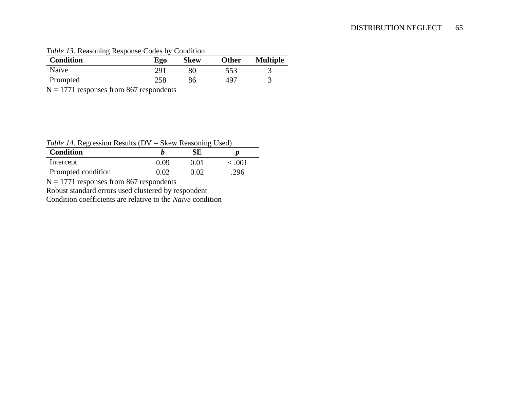| <b>Condition</b> | Ego | <b>Skew</b> | <b>Other</b> | <b>Multiple</b> |
|------------------|-----|-------------|--------------|-----------------|
| Naïve            | 291 | 80          | 553          |                 |
| Prompted         | 258 | 86          | 497          |                 |

## *Table 13.* Reasoning Response Codes by Condition

 $N = 1771$  responses from 867 respondents

#### *Table 14.* Regression Results (DV = Skew Reasoning Used)

| Twele 1.1, Inequestion Incomes (D $\tau$ = SKCW Incusoming Osca) |      |      |         |
|------------------------------------------------------------------|------|------|---------|
| <b>Condition</b>                                                 |      | SE.  |         |
| Intercept                                                        | 0.09 | O O1 | < 0.001 |
| Prompted condition                                               | 0 O2 | 0.02 | 296     |

 $N = 1771$  responses from 867 respondents

Robust standard errors used clustered by respondent

Condition coefficients are relative to the *Naive* condition